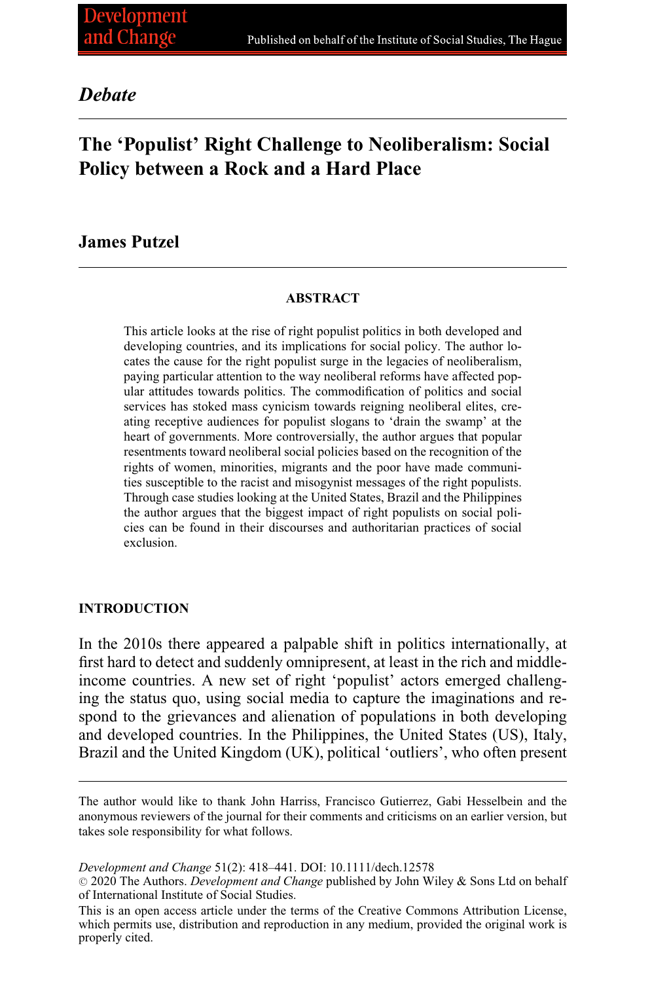# *Debate*

# **The 'Populist' Right Challenge to Neoliberalism: Social Policy between a Rock and a Hard Place**

# **James Putzel**

## **ABSTRACT**

This article looks at the rise of right populist politics in both developed and developing countries, and its implications for social policy. The author locates the cause for the right populist surge in the legacies of neoliberalism, paying particular attention to the way neoliberal reforms have affected popular attitudes towards politics. The commodification of politics and social services has stoked mass cynicism towards reigning neoliberal elites, creating receptive audiences for populist slogans to 'drain the swamp' at the heart of governments. More controversially, the author argues that popular resentments toward neoliberal social policies based on the recognition of the rights of women, minorities, migrants and the poor have made communities susceptible to the racist and misogynist messages of the right populists. Through case studies looking at the United States, Brazil and the Philippines the author argues that the biggest impact of right populists on social policies can be found in their discourses and authoritarian practices of social exclusion.

## **INTRODUCTION**

In the 2010s there appeared a palpable shift in politics internationally, at first hard to detect and suddenly omnipresent, at least in the rich and middleincome countries. A new set of right 'populist' actors emerged challenging the status quo, using social media to capture the imaginations and respond to the grievances and alienation of populations in both developing and developed countries. In the Philippines, the United States (US), Italy, Brazil and the United Kingdom (UK), political 'outliers', who often present

The author would like to thank John Harriss, Francisco Gutierrez, Gabi Hesselbein and the anonymous reviewers of the journal for their comments and criticisms on an earlier version, but takes sole responsibility for what follows.

*Development and Change* 51(2): 418–441. DOI: 10.1111/dech.12578

<sup>-</sup><sup>C</sup> 2020 The Authors. *Development and Change* published by John Wiley & Sons Ltd on behalf of International Institute of Social Studies.

This is an open access article under the terms of the Creative Commons Attribution License, which permits use, distribution and reproduction in any medium, provided the original work is properly cited.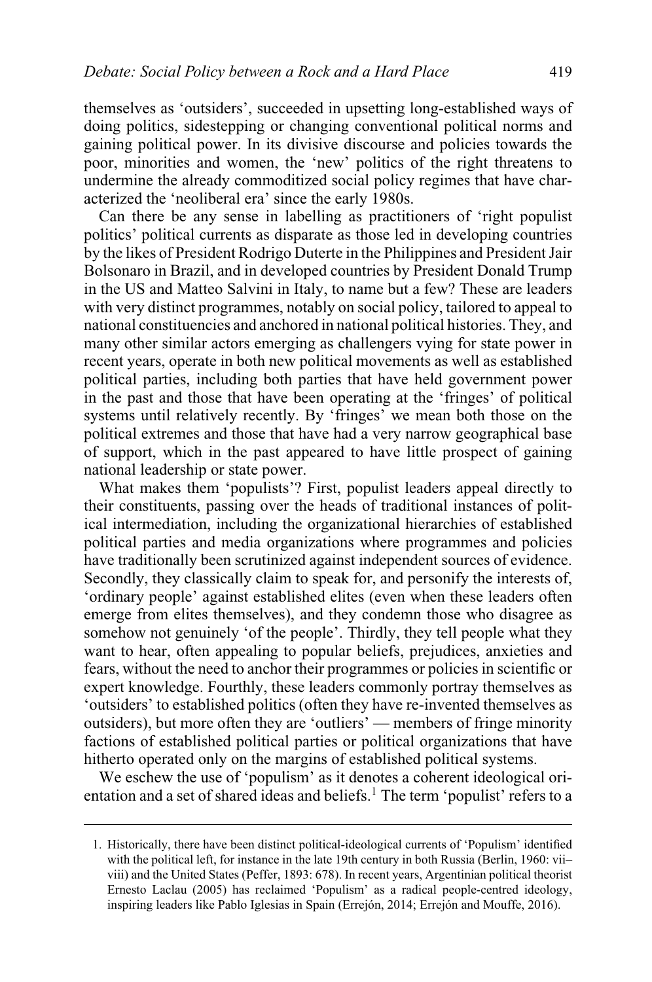themselves as 'outsiders', succeeded in upsetting long-established ways of doing politics, sidestepping or changing conventional political norms and gaining political power. In its divisive discourse and policies towards the poor, minorities and women, the 'new' politics of the right threatens to undermine the already commoditized social policy regimes that have characterized the 'neoliberal era' since the early 1980s.

Can there be any sense in labelling as practitioners of 'right populist politics' political currents as disparate as those led in developing countries by the likes of President Rodrigo Duterte in the Philippines and President Jair Bolsonaro in Brazil, and in developed countries by President Donald Trump in the US and Matteo Salvini in Italy, to name but a few? These are leaders with very distinct programmes, notably on social policy, tailored to appeal to national constituencies and anchored in national political histories. They, and many other similar actors emerging as challengers vying for state power in recent years, operate in both new political movements as well as established political parties, including both parties that have held government power in the past and those that have been operating at the 'fringes' of political systems until relatively recently. By 'fringes' we mean both those on the political extremes and those that have had a very narrow geographical base of support, which in the past appeared to have little prospect of gaining national leadership or state power.

What makes them 'populists'? First, populist leaders appeal directly to their constituents, passing over the heads of traditional instances of political intermediation, including the organizational hierarchies of established political parties and media organizations where programmes and policies have traditionally been scrutinized against independent sources of evidence. Secondly, they classically claim to speak for, and personify the interests of, 'ordinary people' against established elites (even when these leaders often emerge from elites themselves), and they condemn those who disagree as somehow not genuinely 'of the people'. Thirdly, they tell people what they want to hear, often appealing to popular beliefs, prejudices, anxieties and fears, without the need to anchor their programmes or policies in scientific or expert knowledge. Fourthly, these leaders commonly portray themselves as 'outsiders' to established politics (often they have re-invented themselves as outsiders), but more often they are 'outliers' — members of fringe minority factions of established political parties or political organizations that have hitherto operated only on the margins of established political systems.

We eschew the use of 'populism' as it denotes a coherent ideological orientation and a set of shared ideas and beliefs.<sup>1</sup> The term 'populist' refers to a

<sup>1.</sup> Historically, there have been distinct political-ideological currents of 'Populism' identified with the political left, for instance in the late 19th century in both Russia (Berlin, 1960: viiviii) and the United States (Peffer, 1893: 678). In recent years, Argentinian political theorist Ernesto Laclau (2005) has reclaimed 'Populism' as a radical people-centred ideology, inspiring leaders like Pablo Iglesias in Spain (Errejón, 2014; Errejón and Mouffe, 2016).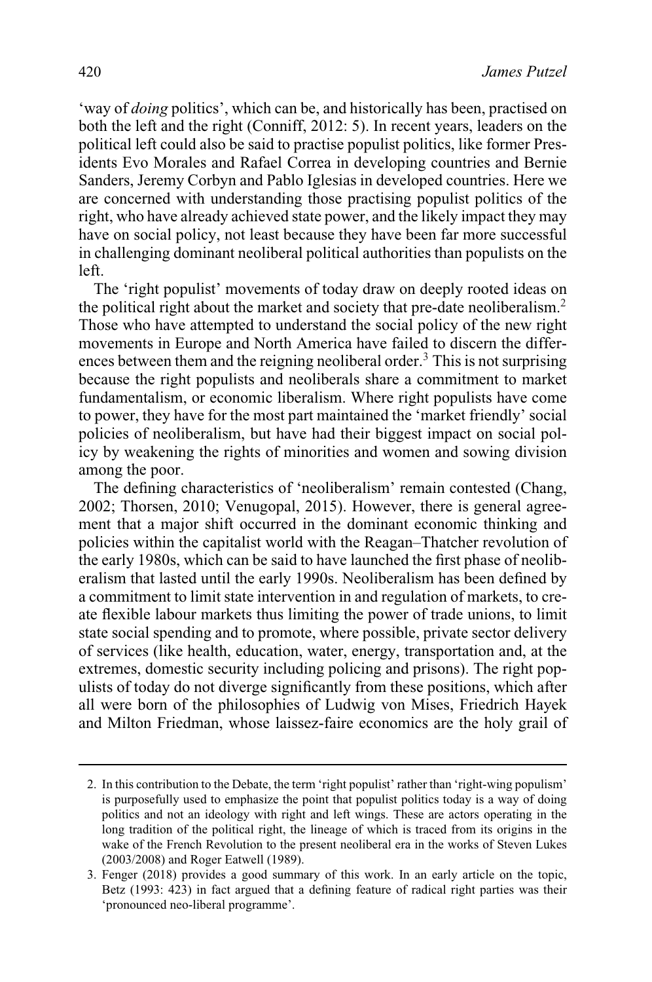'way of *doing* politics', which can be, and historically has been, practised on both the left and the right (Conniff, 2012: 5). In recent years, leaders on the political left could also be said to practise populist politics, like former Presidents Evo Morales and Rafael Correa in developing countries and Bernie Sanders, Jeremy Corbyn and Pablo Iglesias in developed countries. Here we are concerned with understanding those practising populist politics of the right, who have already achieved state power, and the likely impact they may have on social policy, not least because they have been far more successful in challenging dominant neoliberal political authorities than populists on the left.

The 'right populist' movements of today draw on deeply rooted ideas on the political right about the market and society that pre-date neoliberalism.<sup>2</sup> Those who have attempted to understand the social policy of the new right movements in Europe and North America have failed to discern the differences between them and the reigning neoliberal order.<sup>3</sup> This is not surprising because the right populists and neoliberals share a commitment to market fundamentalism, or economic liberalism. Where right populists have come to power, they have for the most part maintained the 'market friendly' social policies of neoliberalism, but have had their biggest impact on social policy by weakening the rights of minorities and women and sowing division among the poor.

The defining characteristics of 'neoliberalism' remain contested (Chang, 2002; Thorsen, 2010; Venugopal, 2015). However, there is general agreement that a major shift occurred in the dominant economic thinking and policies within the capitalist world with the Reagan–Thatcher revolution of the early 1980s, which can be said to have launched the first phase of neoliberalism that lasted until the early 1990s. Neoliberalism has been defined by a commitment to limit state intervention in and regulation of markets, to create flexible labour markets thus limiting the power of trade unions, to limit state social spending and to promote, where possible, private sector delivery of services (like health, education, water, energy, transportation and, at the extremes, domestic security including policing and prisons). The right populists of today do not diverge significantly from these positions, which after all were born of the philosophies of Ludwig von Mises, Friedrich Hayek and Milton Friedman, whose laissez-faire economics are the holy grail of

<sup>2.</sup> In this contribution to the Debate, the term 'right populist' rather than 'right-wing populism' is purposefully used to emphasize the point that populist politics today is a way of doing politics and not an ideology with right and left wings. These are actors operating in the long tradition of the political right, the lineage of which is traced from its origins in the wake of the French Revolution to the present neoliberal era in the works of Steven Lukes (2003/2008) and Roger Eatwell (1989).

<sup>3.</sup> Fenger (2018) provides a good summary of this work. In an early article on the topic, Betz (1993: 423) in fact argued that a defining feature of radical right parties was their 'pronounced neo-liberal programme'.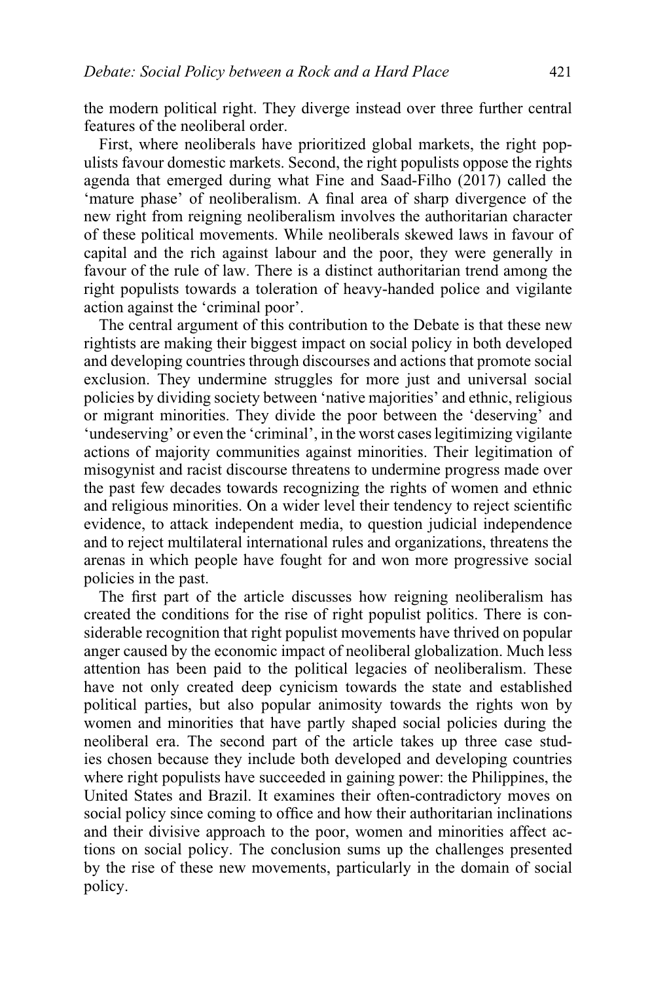the modern political right. They diverge instead over three further central features of the neoliberal order.

First, where neoliberals have prioritized global markets, the right populists favour domestic markets. Second, the right populists oppose the rights agenda that emerged during what Fine and Saad-Filho (2017) called the 'mature phase' of neoliberalism. A final area of sharp divergence of the new right from reigning neoliberalism involves the authoritarian character of these political movements. While neoliberals skewed laws in favour of capital and the rich against labour and the poor, they were generally in favour of the rule of law. There is a distinct authoritarian trend among the right populists towards a toleration of heavy-handed police and vigilante action against the 'criminal poor'.

The central argument of this contribution to the Debate is that these new rightists are making their biggest impact on social policy in both developed and developing countries through discourses and actions that promote social exclusion. They undermine struggles for more just and universal social policies by dividing society between 'native majorities' and ethnic, religious or migrant minorities. They divide the poor between the 'deserving' and 'undeserving' or even the 'criminal', in the worst cases legitimizing vigilante actions of majority communities against minorities. Their legitimation of misogynist and racist discourse threatens to undermine progress made over the past few decades towards recognizing the rights of women and ethnic and religious minorities. On a wider level their tendency to reject scientific evidence, to attack independent media, to question judicial independence and to reject multilateral international rules and organizations, threatens the arenas in which people have fought for and won more progressive social policies in the past.

The first part of the article discusses how reigning neoliberalism has created the conditions for the rise of right populist politics. There is considerable recognition that right populist movements have thrived on popular anger caused by the economic impact of neoliberal globalization. Much less attention has been paid to the political legacies of neoliberalism. These have not only created deep cynicism towards the state and established political parties, but also popular animosity towards the rights won by women and minorities that have partly shaped social policies during the neoliberal era. The second part of the article takes up three case studies chosen because they include both developed and developing countries where right populists have succeeded in gaining power: the Philippines, the United States and Brazil. It examines their often-contradictory moves on social policy since coming to office and how their authoritarian inclinations and their divisive approach to the poor, women and minorities affect actions on social policy. The conclusion sums up the challenges presented by the rise of these new movements, particularly in the domain of social policy.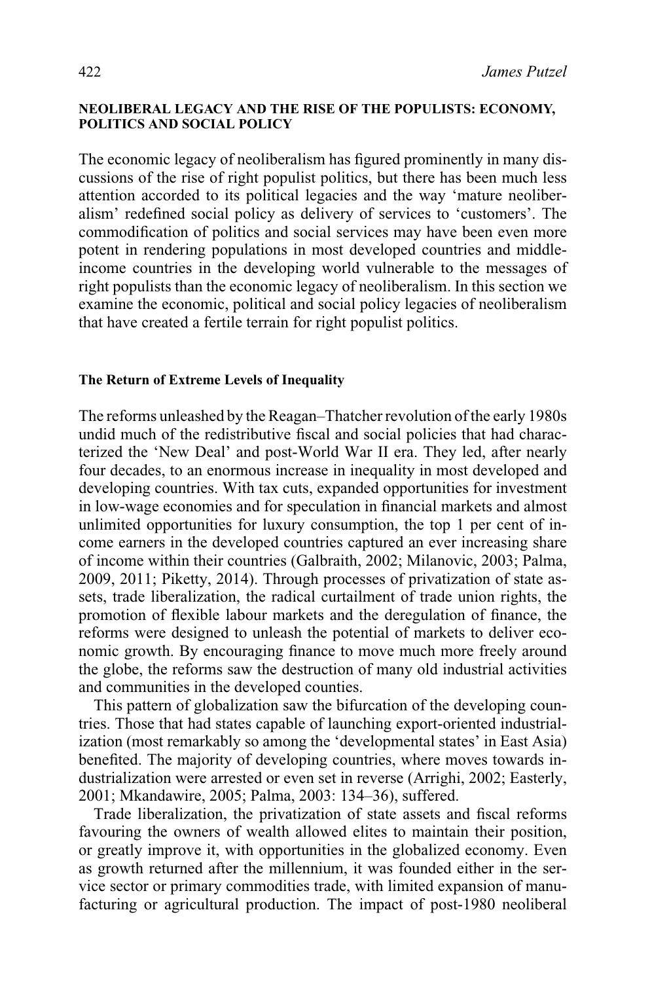#### **NEOLIBERAL LEGACY AND THE RISE OF THE POPULISTS: ECONOMY, POLITICS AND SOCIAL POLICY**

The economic legacy of neoliberalism has figured prominently in many discussions of the rise of right populist politics, but there has been much less attention accorded to its political legacies and the way 'mature neoliberalism' redefined social policy as delivery of services to 'customers'. The commodification of politics and social services may have been even more potent in rendering populations in most developed countries and middleincome countries in the developing world vulnerable to the messages of right populists than the economic legacy of neoliberalism. In this section we examine the economic, political and social policy legacies of neoliberalism that have created a fertile terrain for right populist politics.

#### **The Return of Extreme Levels of Inequality**

The reforms unleashed by the Reagan–Thatcher revolution of the early 1980s undid much of the redistributive fiscal and social policies that had characterized the 'New Deal' and post-World War II era. They led, after nearly four decades, to an enormous increase in inequality in most developed and developing countries. With tax cuts, expanded opportunities for investment in low-wage economies and for speculation in financial markets and almost unlimited opportunities for luxury consumption, the top 1 per cent of income earners in the developed countries captured an ever increasing share of income within their countries (Galbraith, 2002; Milanovic, 2003; Palma, 2009, 2011; Piketty, 2014). Through processes of privatization of state assets, trade liberalization, the radical curtailment of trade union rights, the promotion of flexible labour markets and the deregulation of finance, the reforms were designed to unleash the potential of markets to deliver economic growth. By encouraging finance to move much more freely around the globe, the reforms saw the destruction of many old industrial activities and communities in the developed counties.

This pattern of globalization saw the bifurcation of the developing countries. Those that had states capable of launching export-oriented industrialization (most remarkably so among the 'developmental states' in East Asia) benefited. The majority of developing countries, where moves towards industrialization were arrested or even set in reverse (Arrighi, 2002; Easterly, 2001; Mkandawire, 2005; Palma, 2003: 134–36), suffered.

Trade liberalization, the privatization of state assets and fiscal reforms favouring the owners of wealth allowed elites to maintain their position, or greatly improve it, with opportunities in the globalized economy. Even as growth returned after the millennium, it was founded either in the service sector or primary commodities trade, with limited expansion of manufacturing or agricultural production. The impact of post-1980 neoliberal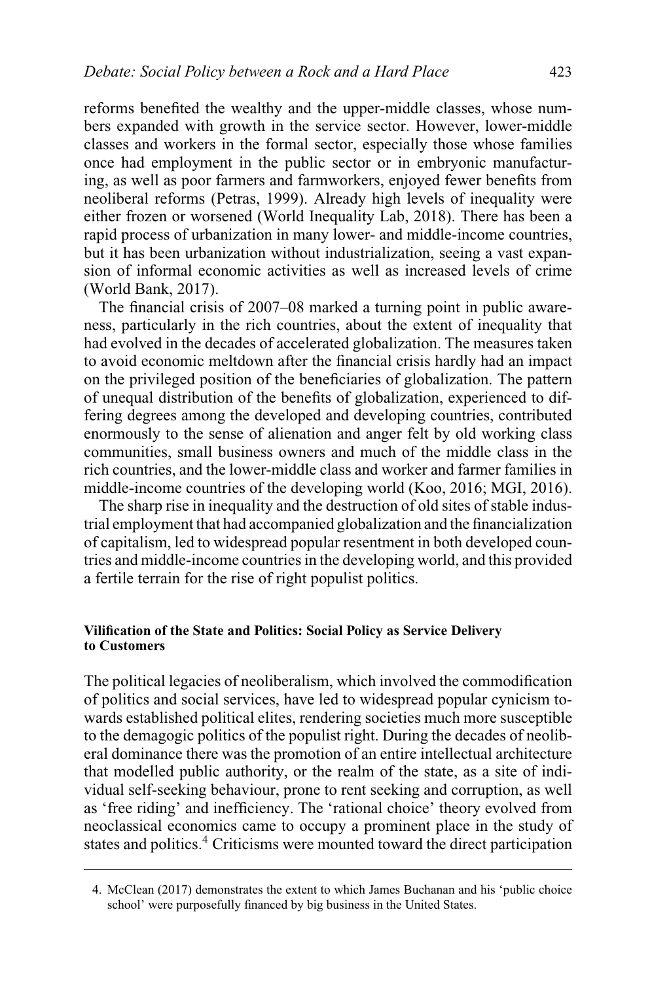reforms benefited the wealthy and the upper-middle classes, whose numbers expanded with growth in the service sector. However, lower-middle classes and workers in the formal sector, especially those whose families once had employment in the public sector or in embryonic manufacturing, as well as poor farmers and farmworkers, enjoyed fewer benefits from neoliberal reforms (Petras, 1999). Already high levels of inequality were either frozen or worsened (World Inequality Lab, 2018). There has been a rapid process of urbanization in many lower- and middle-income countries, but it has been urbanization without industrialization, seeing a vast expansion of informal economic activities as well as increased levels of crime (World Bank, 2017).

The financial crisis of 2007–08 marked a turning point in public awareness, particularly in the rich countries, about the extent of inequality that had evolved in the decades of accelerated globalization. The measures taken to avoid economic meltdown after the financial crisis hardly had an impact on the privileged position of the beneficiaries of globalization. The pattern of unequal distribution of the benefits of globalization, experienced to differing degrees among the developed and developing countries, contributed enormously to the sense of alienation and anger felt by old working class communities, small business owners and much of the middle class in the rich countries, and the lower-middle class and worker and farmer families in middle-income countries of the developing world (Koo, 2016; MGI, 2016).

The sharp rise in inequality and the destruction of old sites of stable industrial employment that had accompanied globalization and the financialization of capitalism, led to widespread popular resentment in both developed countries and middle-income countries in the developing world, and this provided a fertile terrain for the rise of right populist politics.

## **Vilification of the State and Politics: Social Policy as Service Delivery to Customers**

The political legacies of neoliberalism, which involved the commodification of politics and social services, have led to widespread popular cynicism towards established political elites, rendering societies much more susceptible to the demagogic politics of the populist right. During the decades of neoliberal dominance there was the promotion of an entire intellectual architecture that modelled public authority, or the realm of the state, as a site of individual self-seeking behaviour, prone to rent seeking and corruption, as well as 'free riding' and inefficiency. The 'rational choice' theory evolved from neoclassical economics came to occupy a prominent place in the study of states and politics.4 Criticisms were mounted toward the direct participation

<sup>4.</sup> McClean (2017) demonstrates the extent to which James Buchanan and his 'public choice school' were purposefully financed by big business in the United States.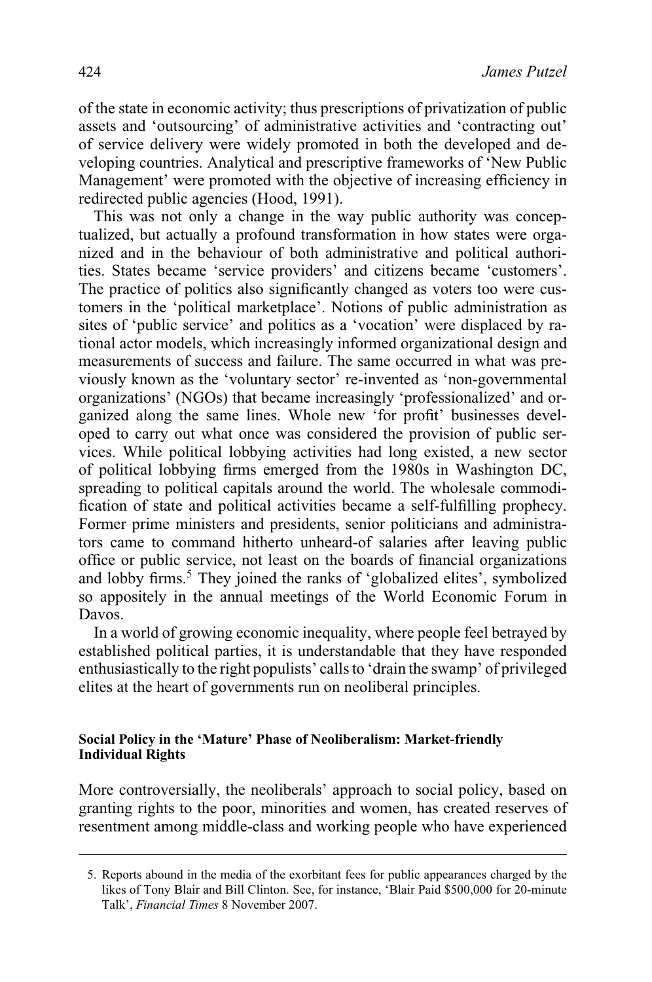of the state in economic activity; thus prescriptions of privatization of public assets and 'outsourcing' of administrative activities and 'contracting out' of service delivery were widely promoted in both the developed and developing countries. Analytical and prescriptive frameworks of 'New Public Management' were promoted with the objective of increasing efficiency in redirected public agencies (Hood, 1991).

This was not only a change in the way public authority was conceptualized, but actually a profound transformation in how states were organized and in the behaviour of both administrative and political authorities. States became 'service providers' and citizens became 'customers'. The practice of politics also significantly changed as voters too were customers in the 'political marketplace'. Notions of public administration as sites of 'public service' and politics as a 'vocation' were displaced by rational actor models, which increasingly informed organizational design and measurements of success and failure. The same occurred in what was previously known as the 'voluntary sector' re-invented as 'non-governmental organizations' (NGOs) that became increasingly 'professionalized' and organized along the same lines. Whole new 'for profit' businesses developed to carry out what once was considered the provision of public services. While political lobbying activities had long existed, a new sector of political lobbying firms emerged from the 1980s in Washington DC, spreading to political capitals around the world. The wholesale commodification of state and political activities became a self-fulfilling prophecy. Former prime ministers and presidents, senior politicians and administrators came to command hitherto unheard-of salaries after leaving public office or public service, not least on the boards of financial organizations and lobby firms.<sup>5</sup> They joined the ranks of 'globalized elites', symbolized so appositely in the annual meetings of the World Economic Forum in Davos.

In a world of growing economic inequality, where people feel betrayed by established political parties, it is understandable that they have responded enthusiastically to the right populists' calls to 'drain the swamp' of privileged elites at the heart of governments run on neoliberal principles.

### **Social Policy in the 'Mature' Phase of Neoliberalism: Market-friendly Individual Rights**

More controversially, the neoliberals' approach to social policy, based on granting rights to the poor, minorities and women, has created reserves of resentment among middle-class and working people who have experienced

<sup>5.</sup> Reports abound in the media of the exorbitant fees for public appearances charged by the likes of Tony Blair and Bill Clinton. See, for instance, 'Blair Paid \$500,000 for 20-minute Talk', *Financial Times* 8 November 2007.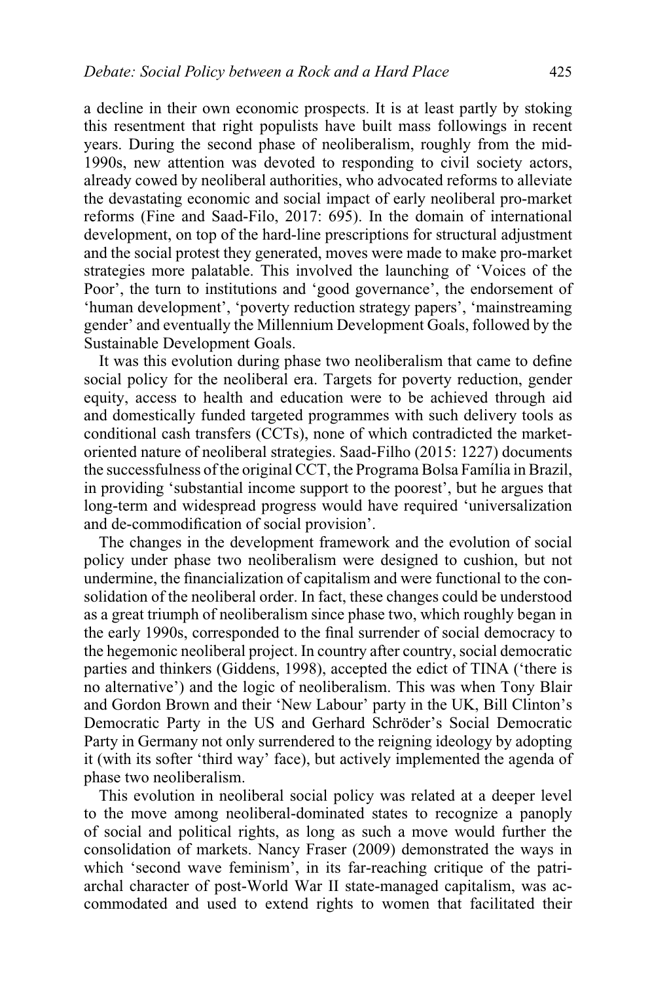a decline in their own economic prospects. It is at least partly by stoking this resentment that right populists have built mass followings in recent years. During the second phase of neoliberalism, roughly from the mid-1990s, new attention was devoted to responding to civil society actors, already cowed by neoliberal authorities, who advocated reforms to alleviate the devastating economic and social impact of early neoliberal pro-market reforms (Fine and Saad-Filo, 2017: 695). In the domain of international development, on top of the hard-line prescriptions for structural adjustment and the social protest they generated, moves were made to make pro-market strategies more palatable. This involved the launching of 'Voices of the Poor', the turn to institutions and 'good governance', the endorsement of 'human development', 'poverty reduction strategy papers', 'mainstreaming gender' and eventually the Millennium Development Goals, followed by the Sustainable Development Goals.

It was this evolution during phase two neoliberalism that came to define social policy for the neoliberal era. Targets for poverty reduction, gender equity, access to health and education were to be achieved through aid and domestically funded targeted programmes with such delivery tools as conditional cash transfers (CCTs), none of which contradicted the marketoriented nature of neoliberal strategies. Saad-Filho (2015: 1227) documents the successfulness of the original CCT, the Programa Bolsa Família in Brazil, in providing 'substantial income support to the poorest', but he argues that long-term and widespread progress would have required 'universalization and de-commodification of social provision'.

The changes in the development framework and the evolution of social policy under phase two neoliberalism were designed to cushion, but not undermine, the financialization of capitalism and were functional to the consolidation of the neoliberal order. In fact, these changes could be understood as a great triumph of neoliberalism since phase two, which roughly began in the early 1990s, corresponded to the final surrender of social democracy to the hegemonic neoliberal project. In country after country, social democratic parties and thinkers (Giddens, 1998), accepted the edict of TINA ('there is no alternative') and the logic of neoliberalism. This was when Tony Blair and Gordon Brown and their 'New Labour' party in the UK, Bill Clinton's Democratic Party in the US and Gerhard Schröder's Social Democratic Party in Germany not only surrendered to the reigning ideology by adopting it (with its softer 'third way' face), but actively implemented the agenda of phase two neoliberalism.

This evolution in neoliberal social policy was related at a deeper level to the move among neoliberal-dominated states to recognize a panoply of social and political rights, as long as such a move would further the consolidation of markets. Nancy Fraser (2009) demonstrated the ways in which 'second wave feminism', in its far-reaching critique of the patriarchal character of post-World War II state-managed capitalism, was accommodated and used to extend rights to women that facilitated their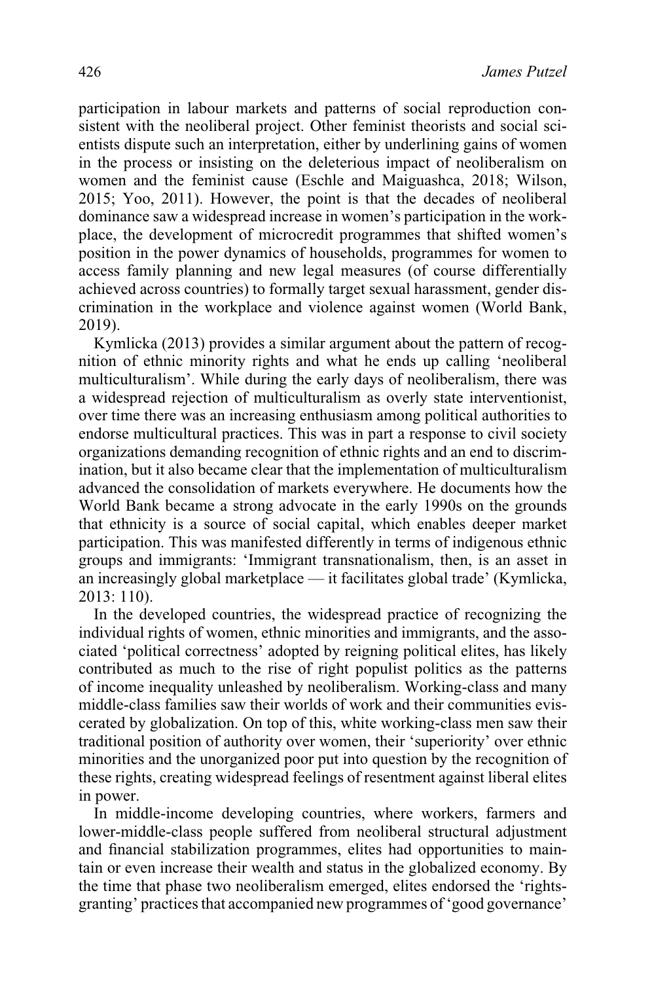participation in labour markets and patterns of social reproduction consistent with the neoliberal project. Other feminist theorists and social scientists dispute such an interpretation, either by underlining gains of women in the process or insisting on the deleterious impact of neoliberalism on women and the feminist cause (Eschle and Maiguashca, 2018; Wilson, 2015; Yoo, 2011). However, the point is that the decades of neoliberal dominance saw a widespread increase in women's participation in the workplace, the development of microcredit programmes that shifted women's position in the power dynamics of households, programmes for women to access family planning and new legal measures (of course differentially achieved across countries) to formally target sexual harassment, gender discrimination in the workplace and violence against women (World Bank, 2019).

Kymlicka (2013) provides a similar argument about the pattern of recognition of ethnic minority rights and what he ends up calling 'neoliberal multiculturalism'. While during the early days of neoliberalism, there was a widespread rejection of multiculturalism as overly state interventionist, over time there was an increasing enthusiasm among political authorities to endorse multicultural practices. This was in part a response to civil society organizations demanding recognition of ethnic rights and an end to discrimination, but it also became clear that the implementation of multiculturalism advanced the consolidation of markets everywhere. He documents how the World Bank became a strong advocate in the early 1990s on the grounds that ethnicity is a source of social capital, which enables deeper market participation. This was manifested differently in terms of indigenous ethnic groups and immigrants: 'Immigrant transnationalism, then, is an asset in an increasingly global marketplace — it facilitates global trade' (Kymlicka, 2013: 110).

In the developed countries, the widespread practice of recognizing the individual rights of women, ethnic minorities and immigrants, and the associated 'political correctness' adopted by reigning political elites, has likely contributed as much to the rise of right populist politics as the patterns of income inequality unleashed by neoliberalism. Working-class and many middle-class families saw their worlds of work and their communities eviscerated by globalization. On top of this, white working-class men saw their traditional position of authority over women, their 'superiority' over ethnic minorities and the unorganized poor put into question by the recognition of these rights, creating widespread feelings of resentment against liberal elites in power.

In middle-income developing countries, where workers, farmers and lower-middle-class people suffered from neoliberal structural adjustment and financial stabilization programmes, elites had opportunities to maintain or even increase their wealth and status in the globalized economy. By the time that phase two neoliberalism emerged, elites endorsed the 'rightsgranting' practices that accompanied new programmes of 'good governance'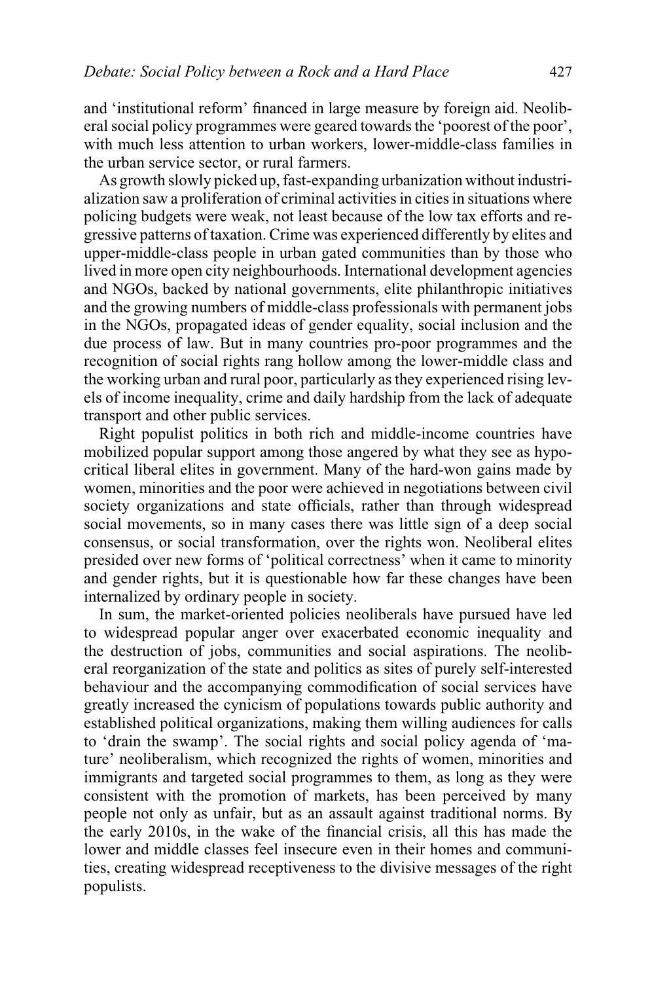and 'institutional reform' financed in large measure by foreign aid. Neoliberal social policy programmes were geared towards the 'poorest of the poor', with much less attention to urban workers, lower-middle-class families in the urban service sector, or rural farmers.

As growth slowly picked up, fast-expanding urbanization without industrialization saw a proliferation of criminal activities in cities in situations where policing budgets were weak, not least because of the low tax efforts and regressive patterns of taxation. Crime was experienced differently by elites and upper-middle-class people in urban gated communities than by those who lived in more open city neighbourhoods. International development agencies and NGOs, backed by national governments, elite philanthropic initiatives and the growing numbers of middle-class professionals with permanent jobs in the NGOs, propagated ideas of gender equality, social inclusion and the due process of law. But in many countries pro-poor programmes and the recognition of social rights rang hollow among the lower-middle class and the working urban and rural poor, particularly as they experienced rising levels of income inequality, crime and daily hardship from the lack of adequate transport and other public services.

Right populist politics in both rich and middle-income countries have mobilized popular support among those angered by what they see as hypocritical liberal elites in government. Many of the hard-won gains made by women, minorities and the poor were achieved in negotiations between civil society organizations and state officials, rather than through widespread social movements, so in many cases there was little sign of a deep social consensus, or social transformation, over the rights won. Neoliberal elites presided over new forms of 'political correctness' when it came to minority and gender rights, but it is questionable how far these changes have been internalized by ordinary people in society.

In sum, the market-oriented policies neoliberals have pursued have led to widespread popular anger over exacerbated economic inequality and the destruction of jobs, communities and social aspirations. The neoliberal reorganization of the state and politics as sites of purely self-interested behaviour and the accompanying commodification of social services have greatly increased the cynicism of populations towards public authority and established political organizations, making them willing audiences for calls to 'drain the swamp'. The social rights and social policy agenda of 'mature' neoliberalism, which recognized the rights of women, minorities and immigrants and targeted social programmes to them, as long as they were consistent with the promotion of markets, has been perceived by many people not only as unfair, but as an assault against traditional norms. By the early 2010s, in the wake of the financial crisis, all this has made the lower and middle classes feel insecure even in their homes and communities, creating widespread receptiveness to the divisive messages of the right populists.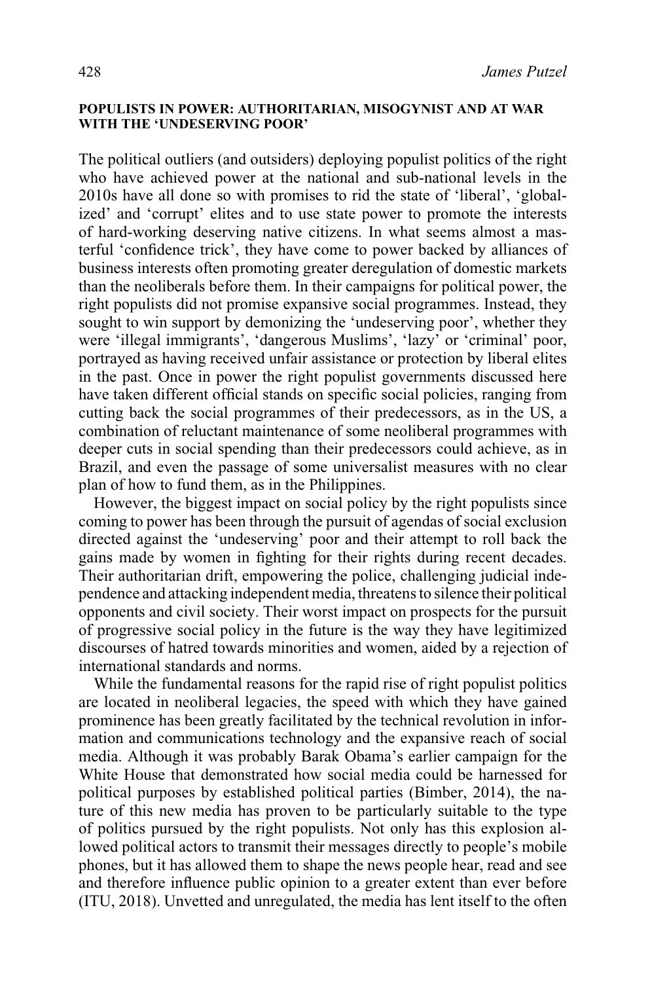#### **POPULISTS IN POWER: AUTHORITARIAN, MISOGYNIST AND AT WAR WITH THE 'UNDESERVING POOR'**

The political outliers (and outsiders) deploying populist politics of the right who have achieved power at the national and sub-national levels in the 2010s have all done so with promises to rid the state of 'liberal', 'globalized' and 'corrupt' elites and to use state power to promote the interests of hard-working deserving native citizens. In what seems almost a masterful 'confidence trick', they have come to power backed by alliances of business interests often promoting greater deregulation of domestic markets than the neoliberals before them. In their campaigns for political power, the right populists did not promise expansive social programmes. Instead, they sought to win support by demonizing the 'undeserving poor', whether they were 'illegal immigrants', 'dangerous Muslims', 'lazy' or 'criminal' poor, portrayed as having received unfair assistance or protection by liberal elites in the past. Once in power the right populist governments discussed here have taken different official stands on specific social policies, ranging from cutting back the social programmes of their predecessors, as in the US, a combination of reluctant maintenance of some neoliberal programmes with deeper cuts in social spending than their predecessors could achieve, as in Brazil, and even the passage of some universalist measures with no clear plan of how to fund them, as in the Philippines.

However, the biggest impact on social policy by the right populists since coming to power has been through the pursuit of agendas of social exclusion directed against the 'undeserving' poor and their attempt to roll back the gains made by women in fighting for their rights during recent decades. Their authoritarian drift, empowering the police, challenging judicial independence and attacking independent media, threatens to silence their political opponents and civil society. Their worst impact on prospects for the pursuit of progressive social policy in the future is the way they have legitimized discourses of hatred towards minorities and women, aided by a rejection of international standards and norms.

While the fundamental reasons for the rapid rise of right populist politics are located in neoliberal legacies, the speed with which they have gained prominence has been greatly facilitated by the technical revolution in information and communications technology and the expansive reach of social media. Although it was probably Barak Obama's earlier campaign for the White House that demonstrated how social media could be harnessed for political purposes by established political parties (Bimber, 2014), the nature of this new media has proven to be particularly suitable to the type of politics pursued by the right populists. Not only has this explosion allowed political actors to transmit their messages directly to people's mobile phones, but it has allowed them to shape the news people hear, read and see and therefore influence public opinion to a greater extent than ever before (ITU, 2018). Unvetted and unregulated, the media has lent itself to the often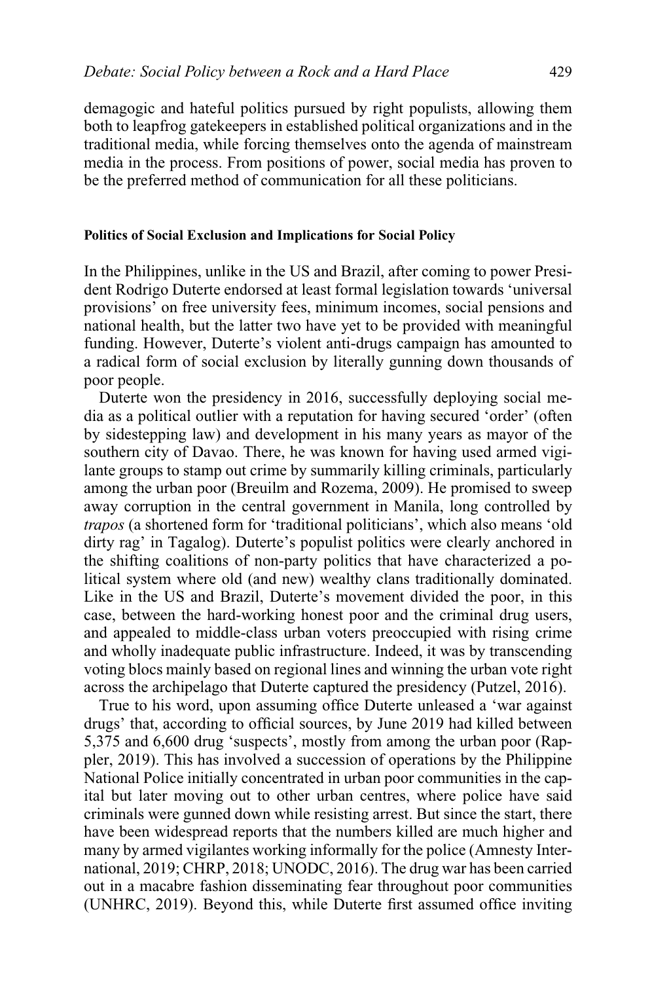demagogic and hateful politics pursued by right populists, allowing them both to leapfrog gatekeepers in established political organizations and in the traditional media, while forcing themselves onto the agenda of mainstream media in the process. From positions of power, social media has proven to be the preferred method of communication for all these politicians.

## **Politics of Social Exclusion and Implications for Social Policy**

In the Philippines, unlike in the US and Brazil, after coming to power President Rodrigo Duterte endorsed at least formal legislation towards 'universal provisions' on free university fees, minimum incomes, social pensions and national health, but the latter two have yet to be provided with meaningful funding. However, Duterte's violent anti-drugs campaign has amounted to a radical form of social exclusion by literally gunning down thousands of poor people.

Duterte won the presidency in 2016, successfully deploying social media as a political outlier with a reputation for having secured 'order' (often by sidestepping law) and development in his many years as mayor of the southern city of Davao. There, he was known for having used armed vigilante groups to stamp out crime by summarily killing criminals, particularly among the urban poor (Breuilm and Rozema, 2009). He promised to sweep away corruption in the central government in Manila, long controlled by *trapos* (a shortened form for 'traditional politicians', which also means 'old dirty rag' in Tagalog). Duterte's populist politics were clearly anchored in the shifting coalitions of non-party politics that have characterized a political system where old (and new) wealthy clans traditionally dominated. Like in the US and Brazil, Duterte's movement divided the poor, in this case, between the hard-working honest poor and the criminal drug users, and appealed to middle-class urban voters preoccupied with rising crime and wholly inadequate public infrastructure. Indeed, it was by transcending voting blocs mainly based on regional lines and winning the urban vote right across the archipelago that Duterte captured the presidency (Putzel, 2016).

True to his word, upon assuming office Duterte unleased a 'war against drugs' that, according to official sources, by June 2019 had killed between 5,375 and 6,600 drug 'suspects', mostly from among the urban poor (Rappler, 2019). This has involved a succession of operations by the Philippine National Police initially concentrated in urban poor communities in the capital but later moving out to other urban centres, where police have said criminals were gunned down while resisting arrest. But since the start, there have been widespread reports that the numbers killed are much higher and many by armed vigilantes working informally for the police (Amnesty International, 2019; CHRP, 2018; UNODC, 2016). The drug war has been carried out in a macabre fashion disseminating fear throughout poor communities (UNHRC, 2019). Beyond this, while Duterte first assumed office inviting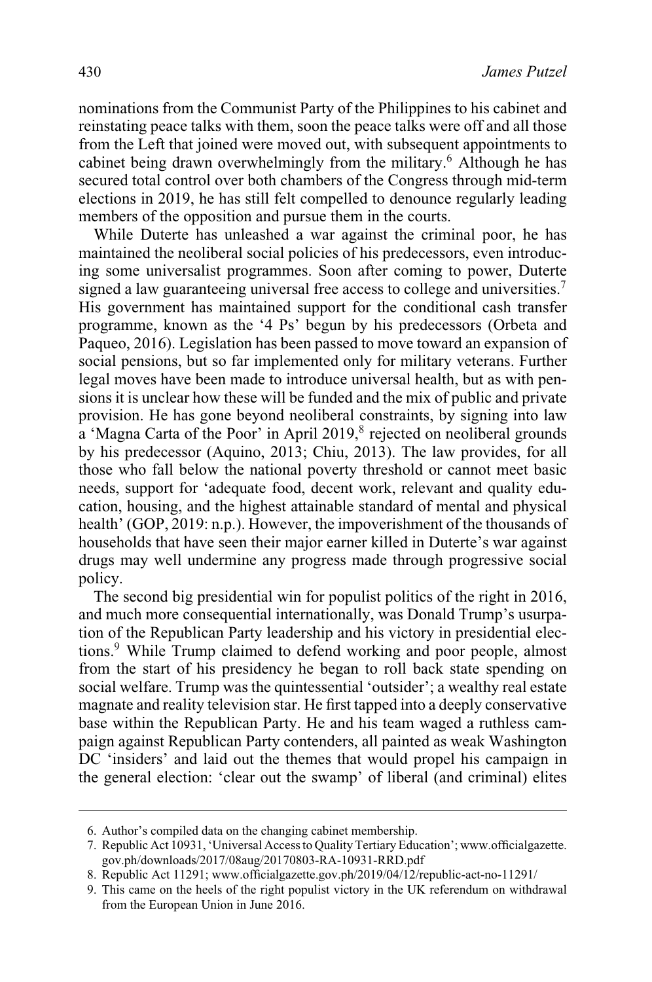nominations from the Communist Party of the Philippines to his cabinet and reinstating peace talks with them, soon the peace talks were off and all those from the Left that joined were moved out, with subsequent appointments to cabinet being drawn overwhelmingly from the military.<sup>6</sup> Although he has secured total control over both chambers of the Congress through mid-term elections in 2019, he has still felt compelled to denounce regularly leading members of the opposition and pursue them in the courts.

While Duterte has unleashed a war against the criminal poor, he has maintained the neoliberal social policies of his predecessors, even introducing some universalist programmes. Soon after coming to power, Duterte signed a law guaranteeing universal free access to college and universities.<sup>7</sup> His government has maintained support for the conditional cash transfer programme, known as the '4 Ps' begun by his predecessors (Orbeta and Paqueo, 2016). Legislation has been passed to move toward an expansion of social pensions, but so far implemented only for military veterans. Further legal moves have been made to introduce universal health, but as with pensions it is unclear how these will be funded and the mix of public and private provision. He has gone beyond neoliberal constraints, by signing into law a 'Magna Carta of the Poor' in April 2019,<sup>8</sup> rejected on neoliberal grounds by his predecessor (Aquino, 2013; Chiu, 2013). The law provides, for all those who fall below the national poverty threshold or cannot meet basic needs, support for 'adequate food, decent work, relevant and quality education, housing, and the highest attainable standard of mental and physical health' (GOP, 2019: n.p.). However, the impoverishment of the thousands of households that have seen their major earner killed in Duterte's war against drugs may well undermine any progress made through progressive social policy.

The second big presidential win for populist politics of the right in 2016, and much more consequential internationally, was Donald Trump's usurpation of the Republican Party leadership and his victory in presidential elections.9 While Trump claimed to defend working and poor people, almost from the start of his presidency he began to roll back state spending on social welfare. Trump was the quintessential 'outsider'; a wealthy real estate magnate and reality television star. He first tapped into a deeply conservative base within the Republican Party. He and his team waged a ruthless campaign against Republican Party contenders, all painted as weak Washington DC 'insiders' and laid out the themes that would propel his campaign in the general election: 'clear out the swamp' of liberal (and criminal) elites

<sup>6.</sup> Author's compiled data on the changing cabinet membership.

<sup>7.</sup> Republic Act 10931, 'Universal Access to Quality Tertiary Education'; [www.officialgazette.](http://www.officialgazette.gov.ph/downloads/2017/08aug/20170803-RA-10931-RRD.pdf) [gov.ph/downloads/2017/08aug/20170803-RA-10931-RRD.pdf](http://www.officialgazette.gov.ph/downloads/2017/08aug/20170803-RA-10931-RRD.pdf)

<sup>8.</sup> Republic Act 11291; [www.officialgazette.gov.ph/2019/04/12/republic-act-no-11291/](http://www.officialgazette.gov.ph/2019/04/12/republic-act-no-11291/)

<sup>9.</sup> This came on the heels of the right populist victory in the UK referendum on withdrawal from the European Union in June 2016.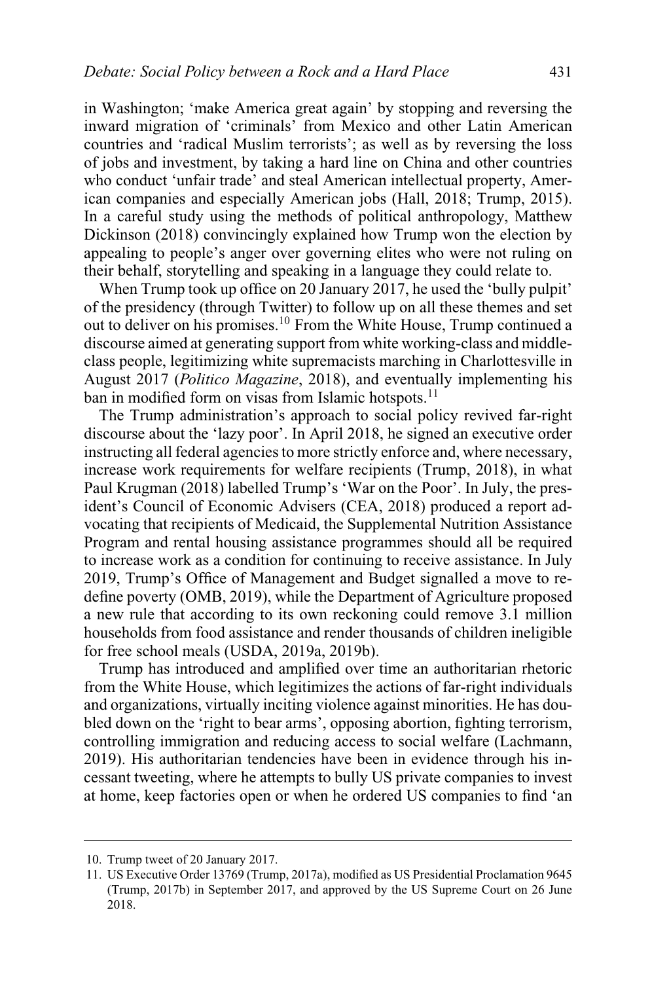in Washington; 'make America great again' by stopping and reversing the inward migration of 'criminals' from Mexico and other Latin American countries and 'radical Muslim terrorists'; as well as by reversing the loss of jobs and investment, by taking a hard line on China and other countries who conduct 'unfair trade' and steal American intellectual property, American companies and especially American jobs (Hall, 2018; Trump, 2015). In a careful study using the methods of political anthropology, Matthew Dickinson (2018) convincingly explained how Trump won the election by appealing to people's anger over governing elites who were not ruling on their behalf, storytelling and speaking in a language they could relate to.

When Trump took up office on 20 January 2017, he used the 'bully pulpit' of the presidency (through Twitter) to follow up on all these themes and set out to deliver on his promises.10 From the White House, Trump continued a discourse aimed at generating support from white working-class and middleclass people, legitimizing white supremacists marching in Charlottesville in August 2017 (*Politico Magazine*, 2018), and eventually implementing his ban in modified form on visas from Islamic hotspots. $11$ 

The Trump administration's approach to social policy revived far-right discourse about the 'lazy poor'. In April 2018, he signed an executive order instructing all federal agencies to more strictly enforce and, where necessary, increase work requirements for welfare recipients (Trump, 2018), in what Paul Krugman (2018) labelled Trump's 'War on the Poor'. In July, the president's Council of Economic Advisers (CEA, 2018) produced a report advocating that recipients of Medicaid, the Supplemental Nutrition Assistance Program and rental housing assistance programmes should all be required to increase work as a condition for continuing to receive assistance. In July 2019, Trump's Office of Management and Budget signalled a move to redefine poverty (OMB, 2019), while the Department of Agriculture proposed a new rule that according to its own reckoning could remove 3.1 million households from food assistance and render thousands of children ineligible for free school meals (USDA, 2019a, 2019b).

Trump has introduced and amplified over time an authoritarian rhetoric from the White House, which legitimizes the actions of far-right individuals and organizations, virtually inciting violence against minorities. He has doubled down on the 'right to bear arms', opposing abortion, fighting terrorism, controlling immigration and reducing access to social welfare (Lachmann, 2019). His authoritarian tendencies have been in evidence through his incessant tweeting, where he attempts to bully US private companies to invest at home, keep factories open or when he ordered US companies to find 'an

<sup>10.</sup> Trump tweet of 20 January 2017.

<sup>11.</sup> US Executive Order 13769 (Trump, 2017a), modified as US Presidential Proclamation 9645 (Trump, 2017b) in September 2017, and approved by the US Supreme Court on 26 June 2018.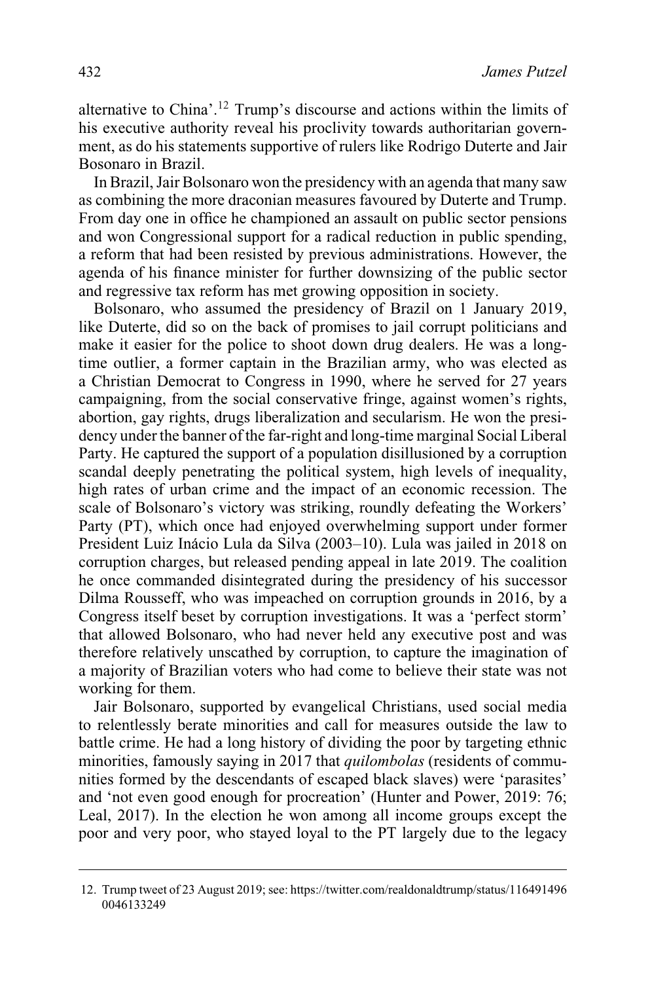alternative to China'.<sup>12</sup> Trump's discourse and actions within the limits of his executive authority reveal his proclivity towards authoritarian government, as do his statements supportive of rulers like Rodrigo Duterte and Jair Bosonaro in Brazil.

In Brazil, Jair Bolsonaro won the presidency with an agenda that many saw as combining the more draconian measures favoured by Duterte and Trump. From day one in office he championed an assault on public sector pensions and won Congressional support for a radical reduction in public spending, a reform that had been resisted by previous administrations. However, the agenda of his finance minister for further downsizing of the public sector and regressive tax reform has met growing opposition in society.

Bolsonaro, who assumed the presidency of Brazil on 1 January 2019, like Duterte, did so on the back of promises to jail corrupt politicians and make it easier for the police to shoot down drug dealers. He was a longtime outlier, a former captain in the Brazilian army, who was elected as a Christian Democrat to Congress in 1990, where he served for 27 years campaigning, from the social conservative fringe, against women's rights, abortion, gay rights, drugs liberalization and secularism. He won the presidency under the banner of the far-right and long-time marginal Social Liberal Party. He captured the support of a population disillusioned by a corruption scandal deeply penetrating the political system, high levels of inequality, high rates of urban crime and the impact of an economic recession. The scale of Bolsonaro's victory was striking, roundly defeating the Workers' Party (PT), which once had enjoyed overwhelming support under former President Luiz Inácio Lula da Silva (2003–10). Lula was jailed in 2018 on corruption charges, but released pending appeal in late 2019. The coalition he once commanded disintegrated during the presidency of his successor Dilma Rousseff, who was impeached on corruption grounds in 2016, by a Congress itself beset by corruption investigations. It was a 'perfect storm' that allowed Bolsonaro, who had never held any executive post and was therefore relatively unscathed by corruption, to capture the imagination of a majority of Brazilian voters who had come to believe their state was not working for them.

Jair Bolsonaro, supported by evangelical Christians, used social media to relentlessly berate minorities and call for measures outside the law to battle crime. He had a long history of dividing the poor by targeting ethnic minorities, famously saying in 2017 that *quilombolas* (residents of communities formed by the descendants of escaped black slaves) were 'parasites' and 'not even good enough for procreation' (Hunter and Power, 2019: 76; Leal, 2017). In the election he won among all income groups except the poor and very poor, who stayed loyal to the PT largely due to the legacy

<sup>12.</sup> Trump tweet of 23 August 2019; see: [https://twitter.com/realdonaldtrump/status/116491496](https://twitter.com/realdonaldtrump/status/1164914960046133249) [0046133249](https://twitter.com/realdonaldtrump/status/1164914960046133249)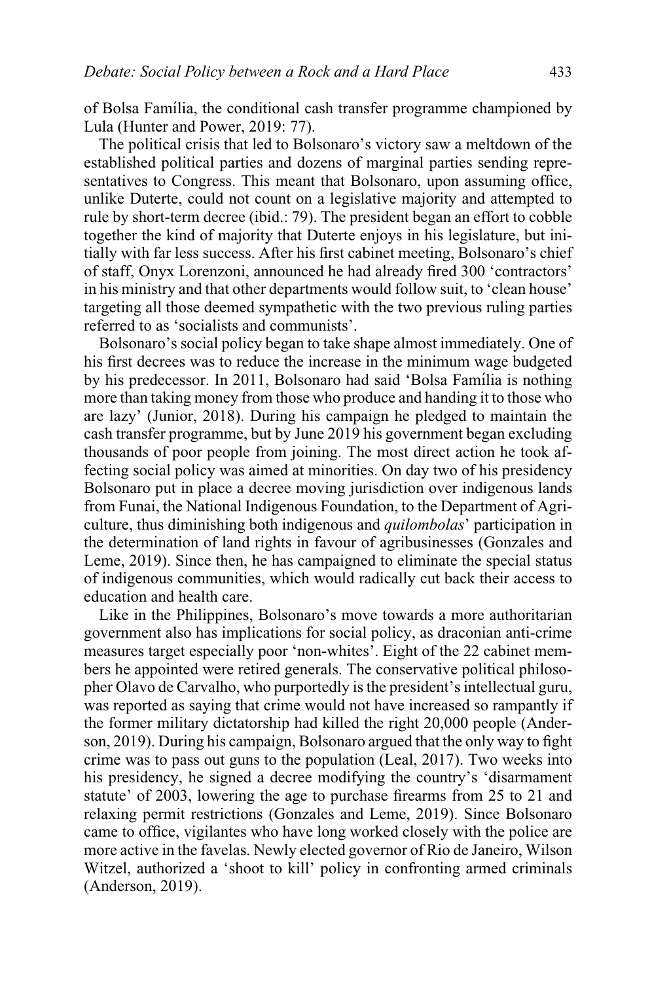of Bolsa Fam´ılia, the conditional cash transfer programme championed by Lula (Hunter and Power, 2019: 77).

The political crisis that led to Bolsonaro's victory saw a meltdown of the established political parties and dozens of marginal parties sending representatives to Congress. This meant that Bolsonaro, upon assuming office, unlike Duterte, could not count on a legislative majority and attempted to rule by short-term decree (ibid.: 79). The president began an effort to cobble together the kind of majority that Duterte enjoys in his legislature, but initially with far less success. After his first cabinet meeting, Bolsonaro's chief of staff, Onyx Lorenzoni, announced he had already fired 300 'contractors' in his ministry and that other departments would follow suit, to 'clean house' targeting all those deemed sympathetic with the two previous ruling parties referred to as 'socialists and communists'.

Bolsonaro's social policy began to take shape almost immediately. One of his first decrees was to reduce the increase in the minimum wage budgeted by his predecessor. In 2011, Bolsonaro had said 'Bolsa Família is nothing more than taking money from those who produce and handing it to those who are lazy' (Junior, 2018). During his campaign he pledged to maintain the cash transfer programme, but by June 2019 his government began excluding thousands of poor people from joining. The most direct action he took affecting social policy was aimed at minorities. On day two of his presidency Bolsonaro put in place a decree moving jurisdiction over indigenous lands from Funai, the National Indigenous Foundation, to the Department of Agriculture, thus diminishing both indigenous and *quilombolas*' participation in the determination of land rights in favour of agribusinesses (Gonzales and Leme, 2019). Since then, he has campaigned to eliminate the special status of indigenous communities, which would radically cut back their access to education and health care.

Like in the Philippines, Bolsonaro's move towards a more authoritarian government also has implications for social policy, as draconian anti-crime measures target especially poor 'non-whites'. Eight of the 22 cabinet members he appointed were retired generals. The conservative political philosopher Olavo de Carvalho, who purportedly is the president's intellectual guru, was reported as saying that crime would not have increased so rampantly if the former military dictatorship had killed the right 20,000 people (Anderson, 2019). During his campaign, Bolsonaro argued that the only way to fight crime was to pass out guns to the population (Leal, 2017). Two weeks into his presidency, he signed a decree modifying the country's 'disarmament statute' of 2003, lowering the age to purchase firearms from 25 to 21 and relaxing permit restrictions (Gonzales and Leme, 2019). Since Bolsonaro came to office, vigilantes who have long worked closely with the police are more active in the favelas. Newly elected governor of Rio de Janeiro, Wilson Witzel, authorized a 'shoot to kill' policy in confronting armed criminals (Anderson, 2019).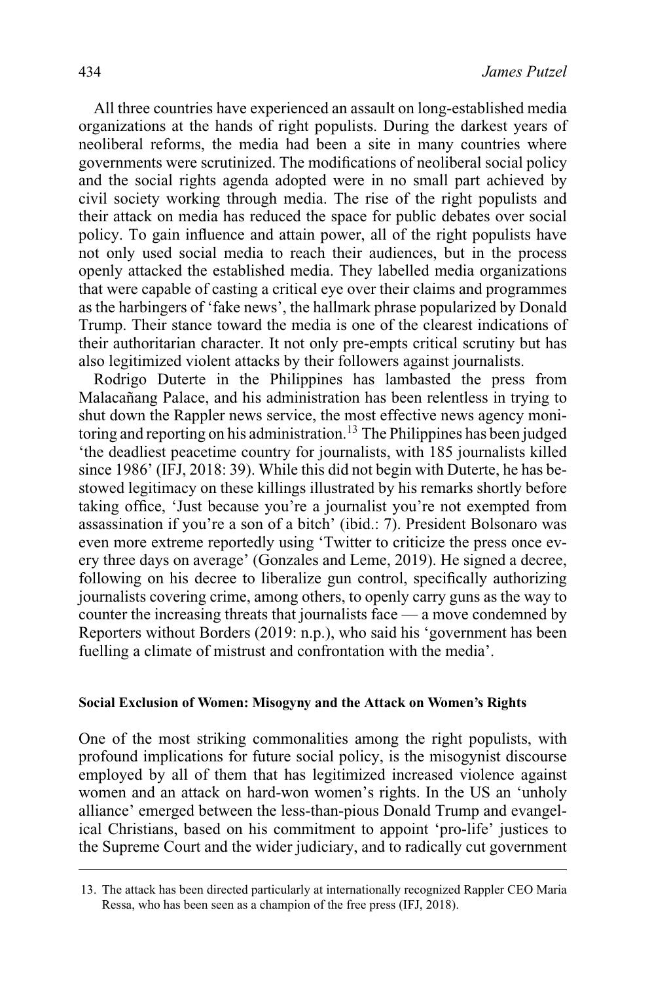All three countries have experienced an assault on long-established media organizations at the hands of right populists. During the darkest years of neoliberal reforms, the media had been a site in many countries where governments were scrutinized. The modifications of neoliberal social policy and the social rights agenda adopted were in no small part achieved by civil society working through media. The rise of the right populists and their attack on media has reduced the space for public debates over social policy. To gain influence and attain power, all of the right populists have not only used social media to reach their audiences, but in the process openly attacked the established media. They labelled media organizations that were capable of casting a critical eye over their claims and programmes as the harbingers of 'fake news', the hallmark phrase popularized by Donald Trump. Their stance toward the media is one of the clearest indications of their authoritarian character. It not only pre-empts critical scrutiny but has also legitimized violent attacks by their followers against journalists.

Rodrigo Duterte in the Philippines has lambasted the press from Malacañang Palace, and his administration has been relentless in trying to shut down the Rappler news service, the most effective news agency monitoring and reporting on his administration.<sup>13</sup> The Philippines has been judged 'the deadliest peacetime country for journalists, with 185 journalists killed since 1986' (IFJ, 2018: 39). While this did not begin with Duterte, he has bestowed legitimacy on these killings illustrated by his remarks shortly before taking office, 'Just because you're a journalist you're not exempted from assassination if you're a son of a bitch' (ibid.: 7). President Bolsonaro was even more extreme reportedly using 'Twitter to criticize the press once every three days on average' (Gonzales and Leme, 2019). He signed a decree, following on his decree to liberalize gun control, specifically authorizing journalists covering crime, among others, to openly carry guns as the way to counter the increasing threats that journalists face — a move condemned by Reporters without Borders (2019: n.p.), who said his 'government has been fuelling a climate of mistrust and confrontation with the media'.

#### **Social Exclusion of Women: Misogyny and the Attack on Women's Rights**

One of the most striking commonalities among the right populists, with profound implications for future social policy, is the misogynist discourse employed by all of them that has legitimized increased violence against women and an attack on hard-won women's rights. In the US an 'unholy alliance' emerged between the less-than-pious Donald Trump and evangelical Christians, based on his commitment to appoint 'pro-life' justices to the Supreme Court and the wider judiciary, and to radically cut government

<sup>13.</sup> The attack has been directed particularly at internationally recognized Rappler CEO Maria Ressa, who has been seen as a champion of the free press (IFJ, 2018).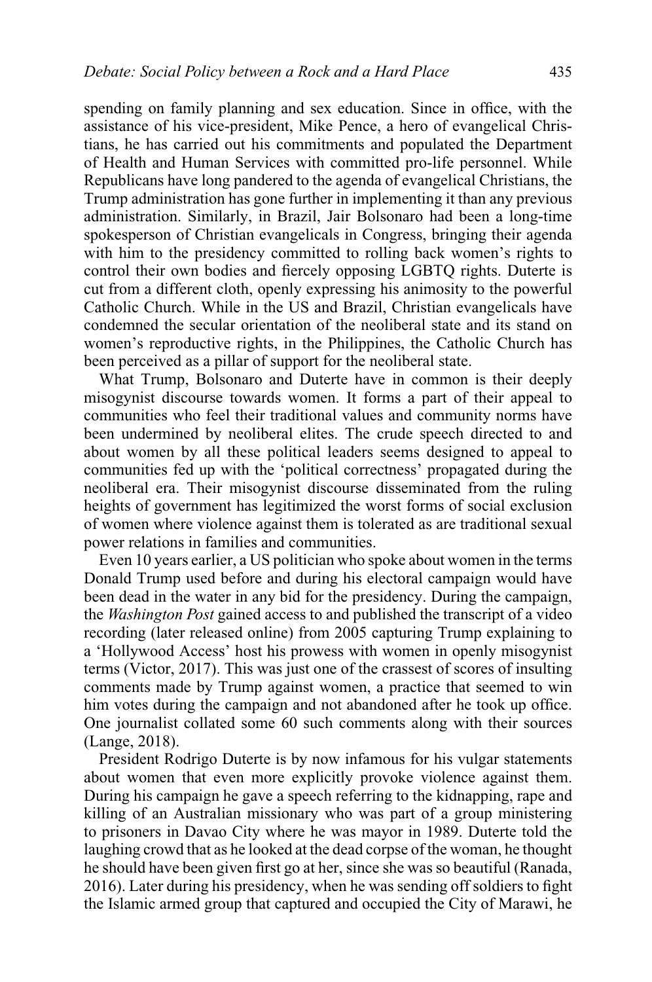spending on family planning and sex education. Since in office, with the assistance of his vice-president, Mike Pence, a hero of evangelical Christians, he has carried out his commitments and populated the Department of Health and Human Services with committed pro-life personnel. While Republicans have long pandered to the agenda of evangelical Christians, the Trump administration has gone further in implementing it than any previous administration. Similarly, in Brazil, Jair Bolsonaro had been a long-time spokesperson of Christian evangelicals in Congress, bringing their agenda with him to the presidency committed to rolling back women's rights to control their own bodies and fiercely opposing LGBTQ rights. Duterte is cut from a different cloth, openly expressing his animosity to the powerful Catholic Church. While in the US and Brazil, Christian evangelicals have condemned the secular orientation of the neoliberal state and its stand on women's reproductive rights, in the Philippines, the Catholic Church has been perceived as a pillar of support for the neoliberal state.

What Trump, Bolsonaro and Duterte have in common is their deeply misogynist discourse towards women. It forms a part of their appeal to communities who feel their traditional values and community norms have been undermined by neoliberal elites. The crude speech directed to and about women by all these political leaders seems designed to appeal to communities fed up with the 'political correctness' propagated during the neoliberal era. Their misogynist discourse disseminated from the ruling heights of government has legitimized the worst forms of social exclusion of women where violence against them is tolerated as are traditional sexual power relations in families and communities.

Even 10 years earlier, a US politician who spoke about women in the terms Donald Trump used before and during his electoral campaign would have been dead in the water in any bid for the presidency. During the campaign, the *Washington Post* gained access to and published the transcript of a video recording (later released online) from 2005 capturing Trump explaining to a 'Hollywood Access' host his prowess with women in openly misogynist terms (Victor, 2017). This was just one of the crassest of scores of insulting comments made by Trump against women, a practice that seemed to win him votes during the campaign and not abandoned after he took up office. One journalist collated some 60 such comments along with their sources (Lange, 2018).

President Rodrigo Duterte is by now infamous for his vulgar statements about women that even more explicitly provoke violence against them. During his campaign he gave a speech referring to the kidnapping, rape and killing of an Australian missionary who was part of a group ministering to prisoners in Davao City where he was mayor in 1989. Duterte told the laughing crowd that as he looked at the dead corpse of the woman, he thought he should have been given first go at her, since she was so beautiful (Ranada, 2016). Later during his presidency, when he was sending off soldiers to fight the Islamic armed group that captured and occupied the City of Marawi, he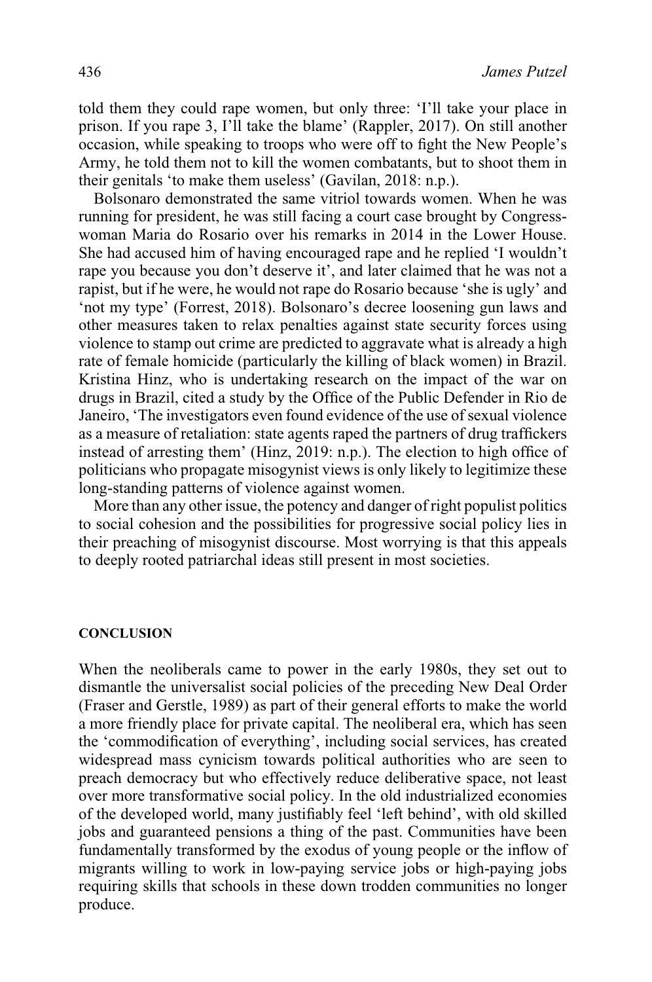told them they could rape women, but only three: 'I'll take your place in prison. If you rape 3, I'll take the blame' (Rappler, 2017). On still another occasion, while speaking to troops who were off to fight the New People's Army, he told them not to kill the women combatants, but to shoot them in their genitals 'to make them useless' (Gavilan, 2018: n.p.).

Bolsonaro demonstrated the same vitriol towards women. When he was running for president, he was still facing a court case brought by Congresswoman Maria do Rosario over his remarks in 2014 in the Lower House. She had accused him of having encouraged rape and he replied 'I wouldn't rape you because you don't deserve it', and later claimed that he was not a rapist, but if he were, he would not rape do Rosario because 'she is ugly' and 'not my type' (Forrest, 2018). Bolsonaro's decree loosening gun laws and other measures taken to relax penalties against state security forces using violence to stamp out crime are predicted to aggravate what is already a high rate of female homicide (particularly the killing of black women) in Brazil. Kristina Hinz, who is undertaking research on the impact of the war on drugs in Brazil, cited a study by the Office of the Public Defender in Rio de Janeiro, 'The investigators even found evidence of the use of sexual violence as a measure of retaliation: state agents raped the partners of drug traffickers instead of arresting them' (Hinz, 2019: n.p.). The election to high office of politicians who propagate misogynist views is only likely to legitimize these long-standing patterns of violence against women.

More than any other issue, the potency and danger of right populist politics to social cohesion and the possibilities for progressive social policy lies in their preaching of misogynist discourse. Most worrying is that this appeals to deeply rooted patriarchal ideas still present in most societies.

#### **CONCLUSION**

When the neoliberals came to power in the early 1980s, they set out to dismantle the universalist social policies of the preceding New Deal Order (Fraser and Gerstle, 1989) as part of their general efforts to make the world a more friendly place for private capital. The neoliberal era, which has seen the 'commodification of everything', including social services, has created widespread mass cynicism towards political authorities who are seen to preach democracy but who effectively reduce deliberative space, not least over more transformative social policy. In the old industrialized economies of the developed world, many justifiably feel 'left behind', with old skilled jobs and guaranteed pensions a thing of the past. Communities have been fundamentally transformed by the exodus of young people or the inflow of migrants willing to work in low-paying service jobs or high-paying jobs requiring skills that schools in these down trodden communities no longer produce.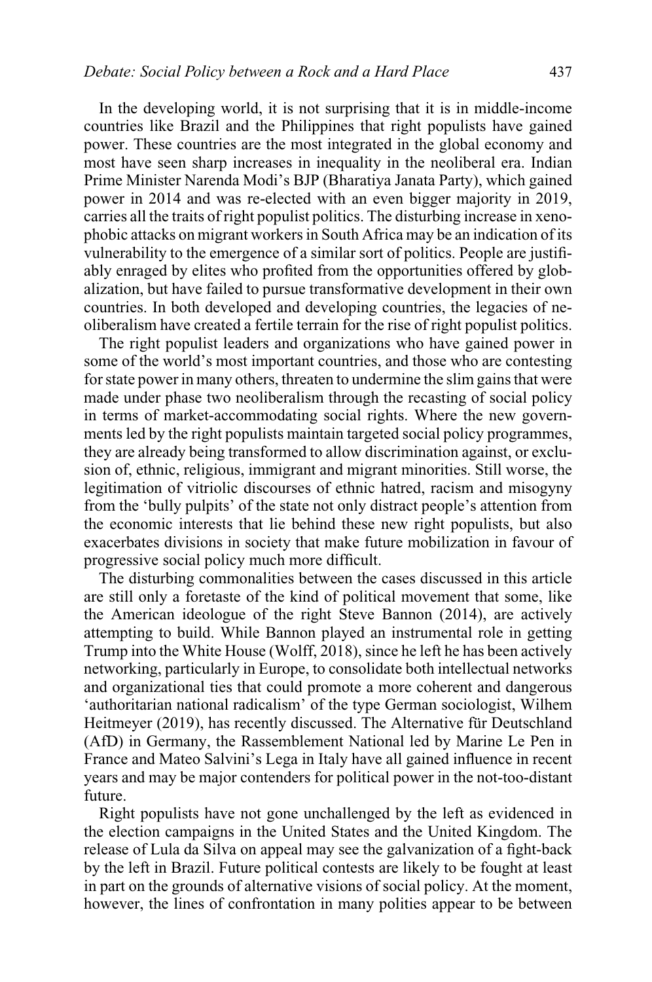In the developing world, it is not surprising that it is in middle-income countries like Brazil and the Philippines that right populists have gained power. These countries are the most integrated in the global economy and most have seen sharp increases in inequality in the neoliberal era. Indian Prime Minister Narenda Modi's BJP (Bharatiya Janata Party), which gained power in 2014 and was re-elected with an even bigger majority in 2019, carries all the traits of right populist politics. The disturbing increase in xenophobic attacks on migrant workers in South Africa may be an indication of its vulnerability to the emergence of a similar sort of politics. People are justifiably enraged by elites who profited from the opportunities offered by globalization, but have failed to pursue transformative development in their own countries. In both developed and developing countries, the legacies of neoliberalism have created a fertile terrain for the rise of right populist politics.

The right populist leaders and organizations who have gained power in some of the world's most important countries, and those who are contesting for state power in many others, threaten to undermine the slim gains that were made under phase two neoliberalism through the recasting of social policy in terms of market-accommodating social rights. Where the new governments led by the right populists maintain targeted social policy programmes, they are already being transformed to allow discrimination against, or exclusion of, ethnic, religious, immigrant and migrant minorities. Still worse, the legitimation of vitriolic discourses of ethnic hatred, racism and misogyny from the 'bully pulpits' of the state not only distract people's attention from the economic interests that lie behind these new right populists, but also exacerbates divisions in society that make future mobilization in favour of progressive social policy much more difficult.

The disturbing commonalities between the cases discussed in this article are still only a foretaste of the kind of political movement that some, like the American ideologue of the right Steve Bannon (2014), are actively attempting to build. While Bannon played an instrumental role in getting Trump into the White House (Wolff, 2018), since he left he has been actively networking, particularly in Europe, to consolidate both intellectual networks and organizational ties that could promote a more coherent and dangerous 'authoritarian national radicalism' of the type German sociologist, Wilhem Heitmeyer (2019), has recently discussed. The Alternative für Deutschland (AfD) in Germany, the Rassemblement National led by Marine Le Pen in France and Mateo Salvini's Lega in Italy have all gained influence in recent years and may be major contenders for political power in the not-too-distant future.

Right populists have not gone unchallenged by the left as evidenced in the election campaigns in the United States and the United Kingdom. The release of Lula da Silva on appeal may see the galvanization of a fight-back by the left in Brazil. Future political contests are likely to be fought at least in part on the grounds of alternative visions of social policy. At the moment, however, the lines of confrontation in many polities appear to be between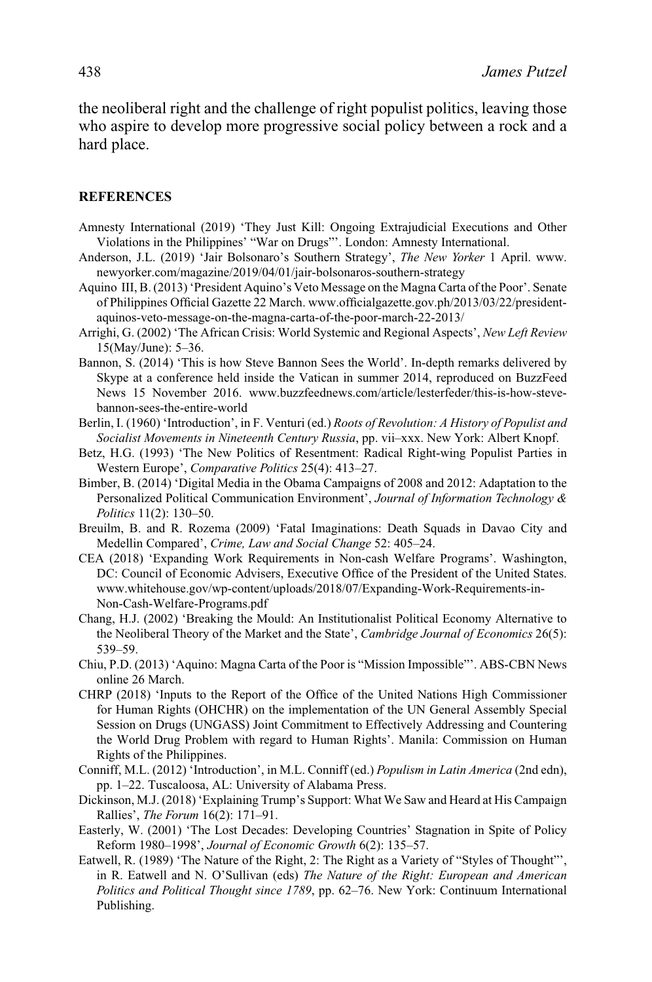the neoliberal right and the challenge of right populist politics, leaving those who aspire to develop more progressive social policy between a rock and a hard place.

#### **REFERENCES**

- Amnesty International (2019) 'They Just Kill: Ongoing Extrajudicial Executions and Other Violations in the Philippines' "War on Drugs"'. London: Amnesty International.
- Anderson, J.L. (2019) 'Jair Bolsonaro's Southern Strategy', *The New Yorker* 1 April. [www.](http://www.newyorker.com/magazine/2019/04/01/jair-bolsonaros-southern-strategy) [newyorker.com/magazine/2019/04/01/jair-bolsonaros-southern-strategy](http://www.newyorker.com/magazine/2019/04/01/jair-bolsonaros-southern-strategy)
- Aquino III, B. (2013) 'President Aquino's Veto Message on the Magna Carta of the Poor'. Senate of Philippines Official Gazette 22 March. [www.officialgazette.gov.ph/2013/03/22/president](http://www.officialgazette.gov.ph/2013/03/22/president-aquinos-veto-message-on-the-magna-carta-of-the-poor-march-22-2013/)[aquinos-veto-message-on-the-magna-carta-of-the-poor-march-22-2013/](http://www.officialgazette.gov.ph/2013/03/22/president-aquinos-veto-message-on-the-magna-carta-of-the-poor-march-22-2013/)
- Arrighi, G. (2002) 'The African Crisis: World Systemic and Regional Aspects', *New Left Review* 15(May/June): 5–36.
- Bannon, S. (2014) 'This is how Steve Bannon Sees the World'. In-depth remarks delivered by Skype at a conference held inside the Vatican in summer 2014, reproduced on BuzzFeed News 15 November 2016. [www.buzzfeednews.com/article/lesterfeder/this-is-how-steve](http://www.buzzfeednews.com/article/lesterfeder/this-is-how-steve-bannon-sees-the-entire-world)[bannon-sees-the-entire-world](http://www.buzzfeednews.com/article/lesterfeder/this-is-how-steve-bannon-sees-the-entire-world)
- Berlin, I. (1960) 'Introduction', in F. Venturi (ed.) *Roots of Revolution: A History of Populist and Socialist Movements in Nineteenth Century Russia*, pp. vii–xxx. New York: Albert Knopf.
- Betz, H.G. (1993) 'The New Politics of Resentment: Radical Right-wing Populist Parties in Western Europe', *Comparative Politics* 25(4): 413–27.
- Bimber, B. (2014) 'Digital Media in the Obama Campaigns of 2008 and 2012: Adaptation to the Personalized Political Communication Environment', *Journal of Information Technology & Politics* 11(2): 130–50.
- Breuilm, B. and R. Rozema (2009) 'Fatal Imaginations: Death Squads in Davao City and Medellin Compared', *Crime, Law and Social Change* 52: 405–24.
- CEA (2018) 'Expanding Work Requirements in Non-cash Welfare Programs'. Washington, DC: Council of Economic Advisers, Executive Office of the President of the United States. [www.whitehouse.gov/wp-content/uploads/2018/07/Expanding-Work-Requirements-in-](http://www.whitehouse.gov/wp-content/uploads/2018/07/Expanding-Work-Requirements-in-Non-Cash-Welfare-Programs.pdf)[Non-Cash-Welfare-Programs.pdf](http://www.whitehouse.gov/wp-content/uploads/2018/07/Expanding-Work-Requirements-in-Non-Cash-Welfare-Programs.pdf)
- Chang, H.J. (2002) 'Breaking the Mould: An Institutionalist Political Economy Alternative to the Neoliberal Theory of the Market and the State', *Cambridge Journal of Economics* 26(5): 539–59.
- Chiu, P.D. (2013) 'Aquino: Magna Carta of the Poor is "Mission Impossible"'. ABS-CBN News online 26 March.
- CHRP (2018) 'Inputs to the Report of the Office of the United Nations High Commissioner for Human Rights (OHCHR) on the implementation of the UN General Assembly Special Session on Drugs (UNGASS) Joint Commitment to Effectively Addressing and Countering the World Drug Problem with regard to Human Rights'. Manila: Commission on Human Rights of the Philippines.
- Conniff, M.L. (2012) 'Introduction', in M.L. Conniff (ed.) *Populism in Latin America* (2nd edn), pp. 1–22. Tuscaloosa, AL: University of Alabama Press.
- Dickinson, M.J. (2018) 'Explaining Trump's Support: What We Saw and Heard at His Campaign Rallies', *The Forum* 16(2): 171–91.
- Easterly, W. (2001) 'The Lost Decades: Developing Countries' Stagnation in Spite of Policy Reform 1980–1998', *Journal of Economic Growth* 6(2): 135–57.
- Eatwell, R. (1989) 'The Nature of the Right, 2: The Right as a Variety of "Styles of Thought"', in R. Eatwell and N. O'Sullivan (eds) *The Nature of the Right: European and American Politics and Political Thought since 1789*, pp. 62–76. New York: Continuum International Publishing.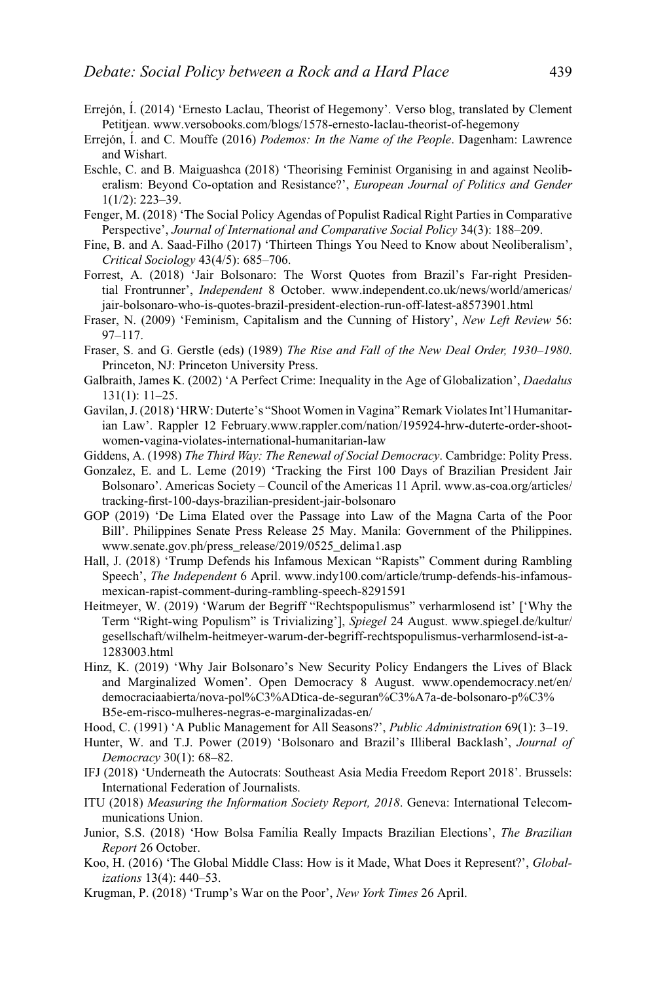- Errejón, Í. (2014) 'Ernesto Laclau, Theorist of Hegemony'. Verso blog, translated by Clement Petitjean. [www.versobooks.com/blogs/1578-ernesto-laclau-theorist-of-hegemony](http://www.versobooks.com/blogs/1578-ernesto-laclau-theorist-of-hegemony)
- Errejón, I. and C. Mouffe (2016) *Podemos: In the Name of the People*. Dagenham: Lawrence and Wishart.
- Eschle, C. and B. Maiguashca (2018) 'Theorising Feminist Organising in and against Neoliberalism: Beyond Co-optation and Resistance?', *European Journal of Politics and Gender* 1(1/2): 223–39.
- Fenger, M. (2018) 'The Social Policy Agendas of Populist Radical Right Parties in Comparative Perspective', *Journal of International and Comparative Social Policy* 34(3): 188–209.
- Fine, B. and A. Saad-Filho (2017) 'Thirteen Things You Need to Know about Neoliberalism', *Critical Sociology* 43(4/5): 685–706.
- Forrest, A. (2018) 'Jair Bolsonaro: The Worst Quotes from Brazil's Far-right Presidential Frontrunner', *Independent* 8 October. [www.independent.co.uk/news/world/americas/](http://www.independent.co.uk/news/world/americas/jair-bolsonaro-who-is-quotes-brazil-president-election-run-off-latest-a8573901.html) [jair-bolsonaro-who-is-quotes-brazil-president-election-run-off-latest-a8573901.html](http://www.independent.co.uk/news/world/americas/jair-bolsonaro-who-is-quotes-brazil-president-election-run-off-latest-a8573901.html)
- Fraser, N. (2009) 'Feminism, Capitalism and the Cunning of History', *New Left Review* 56: 97–117.
- Fraser, S. and G. Gerstle (eds) (1989) *The Rise and Fall of the New Deal Order, 1930–1980*. Princeton, NJ: Princeton University Press.
- Galbraith, James K. (2002) 'A Perfect Crime: Inequality in the Age of Globalization', *Daedalus* 131(1): 11–25.
- Gavilan, J. (2018) 'HRW: Duterte's "ShootWomen in Vagina" Remark Violates Int'l Humanitarian Law'. Rappler 12 February[.www.rappler.com/nation/195924-hrw-duterte-order-shoot](http://www.rappler.com/nation/195924-hrw-duterte-order-shoot-women-vagina-violates-international-humanitarian-law)[women-vagina-violates-international-humanitarian-law](http://www.rappler.com/nation/195924-hrw-duterte-order-shoot-women-vagina-violates-international-humanitarian-law)
- Giddens, A. (1998) *The Third Way: The Renewal of Social Democracy*. Cambridge: Polity Press.
- Gonzalez, E. and L. Leme (2019) 'Tracking the First 100 Days of Brazilian President Jair Bolsonaro'. Americas Society – Council of the Americas 11 April. [www.as-coa.org/articles/](http://www.as-coa.org/articles/tracking-first-100-days-brazilian-president-jair-bolsonaro) [tracking-first-100-days-brazilian-president-jair-bolsonaro](http://www.as-coa.org/articles/tracking-first-100-days-brazilian-president-jair-bolsonaro)
- GOP (2019) 'De Lima Elated over the Passage into Law of the Magna Carta of the Poor Bill'. Philippines Senate Press Release 25 May. Manila: Government of the Philippines. [www.senate.gov.ph/press\\_release/2019/0525\\_delima1.asp](http://www.senate.gov.ph/press_release/2019/0525_delima1.asp)
- Hall, J. (2018) 'Trump Defends his Infamous Mexican "Rapists" Comment during Rambling Speech', *The Independent* 6 April. [www.indy100.com/article/trump-defends-his-infamous](http://www.indy100.com/article/trump-defends-his-infamous-mexican-rapist-comment-during-rambling-speech-8291591)[mexican-rapist-comment-during-rambling-speech-8291591](http://www.indy100.com/article/trump-defends-his-infamous-mexican-rapist-comment-during-rambling-speech-8291591)
- Heitmeyer, W. (2019) 'Warum der Begriff "Rechtspopulismus" verharmlosend ist' ['Why the Term "Right-wing Populism" is Trivializing'], *Spiegel* 24 August. [www.spiegel.de/kultur/](http://www.spiegel.de/kultur/gesellschaft/wilhelm-heitmeyer-warum-der-begriff-rechtspopulismus-verharmlosend-ist-a-1283003.html) [gesellschaft/wilhelm-heitmeyer-warum-der-begriff-rechtspopulismus-verharmlosend-ist-a-](http://www.spiegel.de/kultur/gesellschaft/wilhelm-heitmeyer-warum-der-begriff-rechtspopulismus-verharmlosend-ist-a-1283003.html)[1283003.html](http://www.spiegel.de/kultur/gesellschaft/wilhelm-heitmeyer-warum-der-begriff-rechtspopulismus-verharmlosend-ist-a-1283003.html)
- Hinz, K. (2019) 'Why Jair Bolsonaro's New Security Policy Endangers the Lives of Black and Marginalized Women'. Open Democracy 8 August. [www.opendemocracy.net/en/](http://www.opendemocracy.net/en/democraciaabierta/nova-pol%C3%ADtica-de-seguran%C3%A7a-de-bolsonaro-p%C3%B5e-em-risco-mulheres-negras-e-marginalizadas-en/) [democraciaabierta/nova-pol%C3%ADtica-de-seguran%C3%A7a-de-bolsonaro-p%C3%](http://www.opendemocracy.net/en/democraciaabierta/nova-pol%C3%ADtica-de-seguran%C3%A7a-de-bolsonaro-p%C3%B5e-em-risco-mulheres-negras-e-marginalizadas-en/) [B5e-em-risco-mulheres-negras-e-marginalizadas-en/](http://www.opendemocracy.net/en/democraciaabierta/nova-pol%C3%ADtica-de-seguran%C3%A7a-de-bolsonaro-p%C3%B5e-em-risco-mulheres-negras-e-marginalizadas-en/)
- Hood, C. (1991) 'A Public Management for All Seasons?', *Public Administration* 69(1): 3–19.
- Hunter, W. and T.J. Power (2019) 'Bolsonaro and Brazil's Illiberal Backlash', *Journal of Democracy* 30(1): 68–82.
- IFJ (2018) 'Underneath the Autocrats: Southeast Asia Media Freedom Report 2018'. Brussels: International Federation of Journalists.
- ITU (2018) *Measuring the Information Society Report, 2018*. Geneva: International Telecommunications Union.
- Junior, S.S. (2018) 'How Bolsa Fam´ılia Really Impacts Brazilian Elections', *The Brazilian Report* 26 October.
- Koo, H. (2016) 'The Global Middle Class: How is it Made, What Does it Represent?', *Globalizations* 13(4): 440–53.
- Krugman, P. (2018) 'Trump's War on the Poor', *New York Times* 26 April.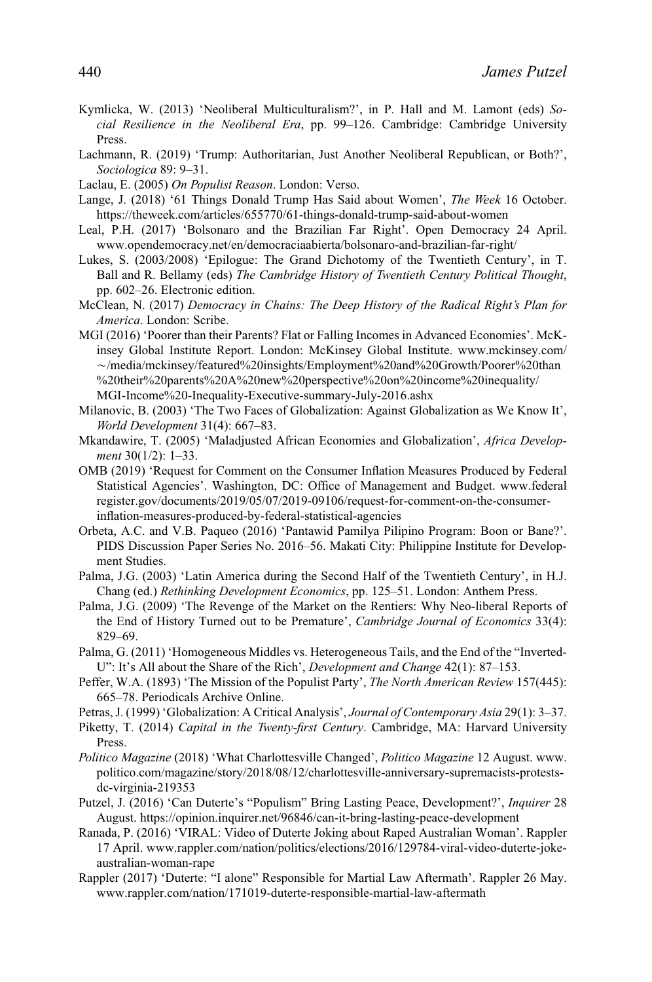- Kymlicka, W. (2013) 'Neoliberal Multiculturalism?', in P. Hall and M. Lamont (eds) *Social Resilience in the Neoliberal Era*, pp. 99–126. Cambridge: Cambridge University Press.
- Lachmann, R. (2019) 'Trump: Authoritarian, Just Another Neoliberal Republican, or Both?', *Sociologica* 89: 9–31.
- Laclau, E. (2005) *On Populist Reason*. London: Verso.
- Lange, J. (2018) '61 Things Donald Trump Has Said about Women', *The Week* 16 October. <https://theweek.com/articles/655770/61-things-donald-trump-said-about-women>
- Leal, P.H. (2017) 'Bolsonaro and the Brazilian Far Right'. Open Democracy 24 April. [www.opendemocracy.net/en/democraciaabierta/bolsonaro-and-brazilian-far-right/](http://www.opendemocracy.net/en/democraciaabierta/bolsonaro-and-brazilian-far-right/)
- Lukes, S. (2003/2008) 'Epilogue: The Grand Dichotomy of the Twentieth Century', in T. Ball and R. Bellamy (eds) *The Cambridge History of Twentieth Century Political Thought*, pp. 602–26. Electronic edition.
- McClean, N. (2017) *Democracy in Chains: The Deep History of the Radical Right's Plan for America*. London: Scribe.
- MGI (2016) 'Poorer than their Parents? Flat or Falling Incomes in Advanced Economies'. McKinsey Global Institute Report. London: McKinsey Global Institute. [www.mckinsey.com/](http://www.mckinsey.com/~/media/mckinsey/featured%20insights/Employment%20and%20Growth/Poorer%20than%20their%20parents%20A%20new%20perspective%20on%20income%20inequality/MGI-Income%20-Inequality-Executive-summary-July-2016.ashx) -[/media/mckinsey/featured%20insights/Employment%20and%20Growth/Poorer%20than](http://www.mckinsey.com/~/media/mckinsey/featured%20insights/Employment%20and%20Growth/Poorer%20than%20their%20parents%20A%20new%20perspective%20on%20income%20inequality/MGI-Income%20-Inequality-Executive-summary-July-2016.ashx) [%20their%20parents%20A%20new%20perspective%20on%20income%20inequality/](http://www.mckinsey.com/~/media/mckinsey/featured%20insights/Employment%20and%20Growth/Poorer%20than%20their%20parents%20A%20new%20perspective%20on%20income%20inequality/MGI-Income%20-Inequality-Executive-summary-July-2016.ashx) [MGI-Income%20-Inequality-Executive-summary-July-2016.ashx](http://www.mckinsey.com/~/media/mckinsey/featured%20insights/Employment%20and%20Growth/Poorer%20than%20their%20parents%20A%20new%20perspective%20on%20income%20inequality/MGI-Income%20-Inequality-Executive-summary-July-2016.ashx)
- Milanovic, B. (2003) 'The Two Faces of Globalization: Against Globalization as We Know It', *World Development* 31(4): 667–83.
- Mkandawire, T. (2005) 'Maladjusted African Economies and Globalization', *Africa Development* 30(1/2): 1–33.
- OMB (2019) 'Request for Comment on the Consumer Inflation Measures Produced by Federal Statistical Agencies'. Washington, DC: Office of Management and Budget. [www.federal](http://www.federalregister.gov/documents/2019/05/07/2019-09106/request-for-comment-on-the-consumer-inflation-measures-produced-by-federal-statistical-agencies) [register.gov/documents/2019/05/07/2019-09106/request-for-comment-on-the-consumer](http://www.federalregister.gov/documents/2019/05/07/2019-09106/request-for-comment-on-the-consumer-inflation-measures-produced-by-federal-statistical-agencies)[inflation-measures-produced-by-federal-statistical-agencies](http://www.federalregister.gov/documents/2019/05/07/2019-09106/request-for-comment-on-the-consumer-inflation-measures-produced-by-federal-statistical-agencies)
- Orbeta, A.C. and V.B. Paqueo (2016) 'Pantawid Pamilya Pilipino Program: Boon or Bane?'. PIDS Discussion Paper Series No. 2016–56. Makati City: Philippine Institute for Development Studies.
- Palma, J.G. (2003) 'Latin America during the Second Half of the Twentieth Century', in H.J. Chang (ed.) *Rethinking Development Economics*, pp. 125–51. London: Anthem Press.
- Palma, J.G. (2009) 'The Revenge of the Market on the Rentiers: Why Neo-liberal Reports of the End of History Turned out to be Premature', *Cambridge Journal of Economics* 33(4): 829–69.
- Palma, G. (2011) 'Homogeneous Middles vs. Heterogeneous Tails, and the End of the "Inverted-U": It's All about the Share of the Rich', *Development and Change* 42(1): 87–153.
- Peffer, W.A. (1893) 'The Mission of the Populist Party', *The North American Review* 157(445): 665–78. Periodicals Archive Online.
- Petras, J. (1999) 'Globalization: A Critical Analysis', *Journal of Contemporary Asia* 29(1): 3–37.
- Piketty, T. (2014) *Capital in the Twenty-first Century*. Cambridge, MA: Harvard University Press.
- *Politico Magazine* (2018) 'What Charlottesville Changed', *Politico Magazine* 12 August. [www.](http://www.politico.com/magazine/story/2018/08/12/charlottesville-anniversary-supremacists-protests-dc-virginia-219353) [politico.com/magazine/story/2018/08/12/charlottesville-anniversary-supremacists-protests](http://www.politico.com/magazine/story/2018/08/12/charlottesville-anniversary-supremacists-protests-dc-virginia-219353)[dc-virginia-219353](http://www.politico.com/magazine/story/2018/08/12/charlottesville-anniversary-supremacists-protests-dc-virginia-219353)
- Putzel, J. (2016) 'Can Duterte's "Populism" Bring Lasting Peace, Development?', *Inquirer* 28 August.<https://opinion.inquirer.net/96846/can-it-bring-lasting-peace-development>
- Ranada, P. (2016) 'VIRAL: Video of Duterte Joking about Raped Australian Woman'. Rappler 17 April. [www.rappler.com/nation/politics/elections/2016/129784-viral-video-duterte-joke](http://www.rappler.com/nation/politics/elections/2016/129784-viral-video-duterte-joke-australian-woman-rape)[australian-woman-rape](http://www.rappler.com/nation/politics/elections/2016/129784-viral-video-duterte-joke-australian-woman-rape)
- Rappler (2017) 'Duterte: "I alone" Responsible for Martial Law Aftermath'. Rappler 26 May. [www.rappler.com/nation/171019-duterte-responsible-martial-law-aftermath](http://www.rappler.com/nation/171019-duterte-responsible-martial-law-aftermath)